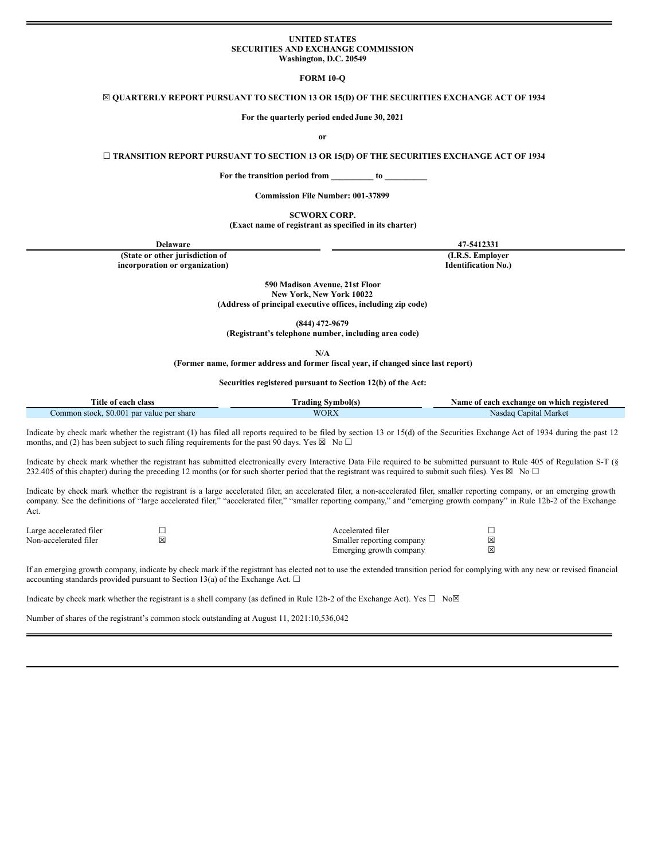### **UNITED STATES SECURITIES AND EXCHANGE COMMISSION Washington, D.C. 20549**

**FORM 10-Q**

### <span id="page-0-0"></span>☒ **QUARTERLY REPORT PURSUANT TO SECTION 13 OR 15(D) OF THE SECURITIES EXCHANGE ACT OF 1934**

**For the quarterly period endedJune 30, 2021**

**or**

## ☐ **TRANSITION REPORT PURSUANT TO SECTION 13 OR 15(D) OF THE SECURITIES EXCHANGE ACT OF 1934**

**For the transition period from \_\_\_\_\_\_\_\_\_\_ to \_\_\_\_\_\_\_\_\_\_**

**Commission File Number: 001-37899**

**SCWORX CORP.**

**(Exact name of registrant as specified in its charter)**

**Delaware 47-5412331**

**(State or other jurisdiction of incorporation or organization)**

**(I.R.S. Employer Identification No.)**

**590 Madison Avenue, 21st Floor New York, New York 10022 (Address of principal executive offices, including zip code)**

**(844) 472-9679 (Registrant's telephone number, including area code)**

**N/A**

**(Former name, former address and former fiscal year, if changed since last report)**

**Securities registered pursuant to Section 12(b) of the Act:**

| <b>Title</b><br>class<br>each<br>: 01          | rading<br>Symbol(s | registered<br>í each exchange on which '<br>Name of |
|------------------------------------------------|--------------------|-----------------------------------------------------|
| Common stock. \$0.001<br>. par value per share | <b>WORX</b>        | Capital Market<br>Nasdad                            |

Indicate by check mark whether the registrant (1) has filed all reports required to be filed by section 13 or 15(d) of the Securities Exchange Act of 1934 during the past 12 months, and (2) has been subject to such filing requirements for the past 90 days. Yes  $\boxtimes \text{ No } \square$ 

Indicate by check mark whether the registrant has submitted electronically every Interactive Data File required to be submitted pursuant to Rule 405 of Regulation S-T (§ 232.405 of this chapter) during the preceding 12 months (or for such shorter period that the registrant was required to submit such files). Yes  $\boxtimes$  No  $\Box$ 

Indicate by check mark whether the registrant is a large accelerated filer, an accelerated filer, a non-accelerated filer, smaller reporting company, or an emerging growth company. See the definitions of "large accelerated filer," "accelerated filer," "smaller reporting company," and "emerging growth company" in Rule 12b-2 of the Exchange Act.

Large accelerated filer ☐ Accelerated filer ☐ Non-accelerated filer **⊠** ⊠ Smaller reporting company ⊠ Emerging growth company  $\boxtimes$ 

If an emerging growth company, indicate by check mark if the registrant has elected not to use the extended transition period for complying with any new or revised financial accounting standards provided pursuant to Section 13(a) of the Exchange Act.  $\square$ 

Indicate by check mark whether the registrant is a shell company (as defined in Rule 12b-2 of the Exchange Act). Yes  $\Box$  No $\boxtimes$ 

Number of shares of the registrant's common stock outstanding at August 11, 2021:10,536,042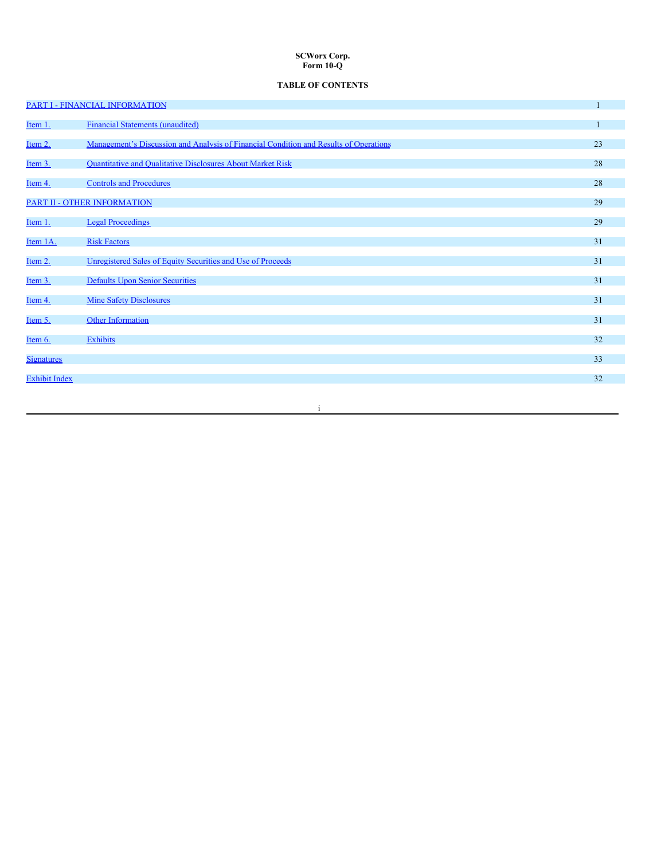## **SCWorx Corp. Form 10-Q**

# **TABLE OF CONTENTS**

|                      | PART I - FINANCIAL INFORMATION                                                        |    |
|----------------------|---------------------------------------------------------------------------------------|----|
|                      |                                                                                       |    |
| Item 1.              | <b>Financial Statements (unaudited)</b>                                               | 1  |
| Item 2.              | Management's Discussion and Analysis of Financial Condition and Results of Operations | 23 |
|                      |                                                                                       |    |
| Item 3.              | Quantitative and Qualitative Disclosures About Market Risk                            | 28 |
|                      |                                                                                       |    |
| Item 4.              | <b>Controls and Procedures</b>                                                        | 28 |
|                      | PART II - OTHER INFORMATION                                                           | 29 |
|                      |                                                                                       |    |
| Item $1.$            | <b>Legal Proceedings</b>                                                              | 29 |
|                      |                                                                                       |    |
| Item 1A.             | <b>Risk Factors</b>                                                                   | 31 |
| Item 2.              | Unregistered Sales of Equity Securities and Use of Proceeds                           | 31 |
|                      |                                                                                       |    |
| Item $3.$            | <b>Defaults Upon Senior Securities</b>                                                | 31 |
|                      |                                                                                       |    |
| Item 4.              | <b>Mine Safety Disclosures</b>                                                        | 31 |
| Item $5.$            | <b>Other Information</b>                                                              | 31 |
|                      |                                                                                       |    |
| Item $6.$            | <b>Exhibits</b>                                                                       | 32 |
|                      |                                                                                       |    |
| <b>Signatures</b>    |                                                                                       | 33 |
| <b>Exhibit Index</b> |                                                                                       | 32 |
|                      |                                                                                       |    |
|                      |                                                                                       |    |

i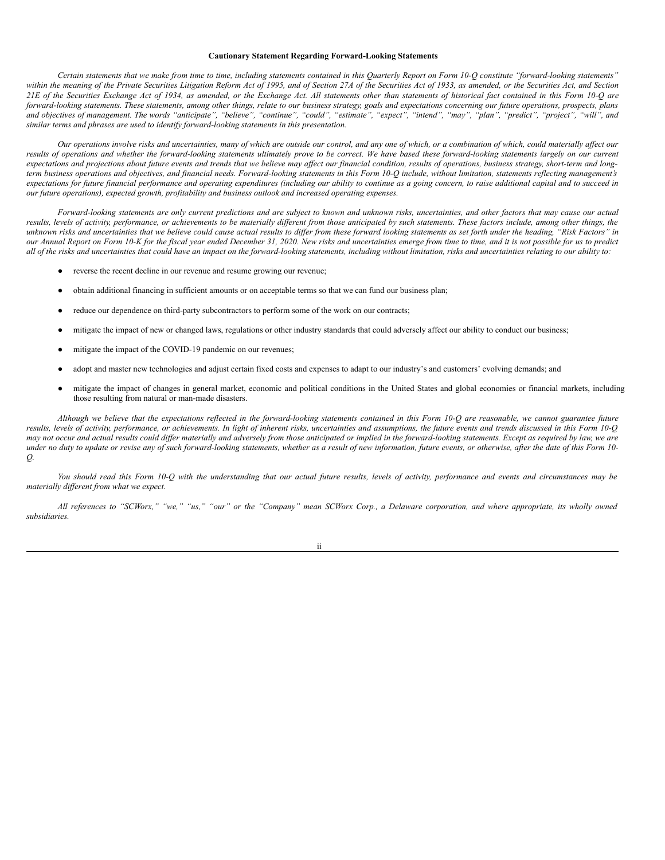#### **Cautionary Statement Regarding Forward-Looking Statements**

Certain statements that we make from time to time, including statements contained in this Quarterly Report on Form 10-Q constitute "forward-looking statements" within the meaning of the Private Securities Litigation Reform Act of 1995, and of Section 27A of the Securities Act of 1933, as amended, or the Securities Act, and Section 21E of the Securities Exchange Act of 1934, as amended, or the Exchange Act. All statements other than statements of historical fact contained in this Form 10-O are forward-looking statements. These statements, among other things, relate to our business strategy, goals and expectations concerning our future operations, prospects, plans and objectives of management. The words "anticipate", "believe", "continue", "could", "estimate", "expect", "intend", "may", "plan", "predict", "project", "will", and *similar terms and phrases are used to identify forward-looking statements in this presentation.*

Our operations involve risks and uncertainties, many of which are outside our control, and any one of which, or a combination of which, could materially affect our results of operations and whether the forward-looking statements ultimately prove to be correct. We have based these forward-looking statements largely on our current expectations and projections about future events and trends that we believe may affect our financial condition, results of operations, business strategy, short-term and longterm business operations and objectives, and financial needs. Forward-looking statements in this Form 10-Q include, without limitation, statements reflecting management's expectations for future financial performance and operating expenditures (including our ability to continue as a going concern, to raise additional capital and to succeed in *our future operations), expected growth, profitability and business outlook and increased operating expenses.*

Forward-looking statements are only current predictions and are subject to known and unknown risks, uncertainties, and other factors that may cause our actual results, levels of activity, performance, or achievements to be materially different from those anticipated by such statements. These factors include, among other things, the unknown risks and uncertainties that we believe could cause actual results to differ from these forward looking statements as set forth under the heading, "Risk Factors" in our Annual Report on Form 10-K for the fiscal vear ended December 31, 2020. New risks and uncertainties emerge from time to time, and it is not possible for us to predict all of the risks and uncertainties that could have an impact on the forward-looking statements, including without limitation, risks and uncertainties relating to our ability to:

- reverse the recent decline in our revenue and resume growing our revenue;
- obtain additional financing in sufficient amounts or on acceptable terms so that we can fund our business plan;
- reduce our dependence on third-party subcontractors to perform some of the work on our contracts;
- mitigate the impact of new or changed laws, regulations or other industry standards that could adversely affect our ability to conduct our business;
- mitigate the impact of the COVID-19 pandemic on our revenues;
- adopt and master new technologies and adjust certain fixed costs and expenses to adapt to our industry's and customers' evolving demands; and
- mitigate the impact of changes in general market, economic and political conditions in the United States and global economies or financial markets, including those resulting from natural or man-made disasters.

Although we believe that the expectations reflected in the forward-looking statements contained in this Form 10-Q are reasonable, we cannot guarantee future results, levels of activity, performance, or achievements. In light of inherent risks, uncertainties and assumptions, the future events and trends discussed in this Form 10-O may not occur and actual results could differ materially and adversely from those anticipated or implied in the forward-looking statements. Except as required by law, we are under no duty to update or revise any of such forward-looking statements, whether as a result of new information, future events, or otherwise, after the date of this Form 10-*Q.*

You should read this Form 10-Q with the understanding that our actual future results, levels of activity, performance and events and circumstances may be *materially dif erent from what we expect.*

All references to "SCWorx," "we," "us," "our" or the "Company" mean SCWorx Corp., a Delaware corporation, and where appropriate, its wholly owned *subsidiaries.*

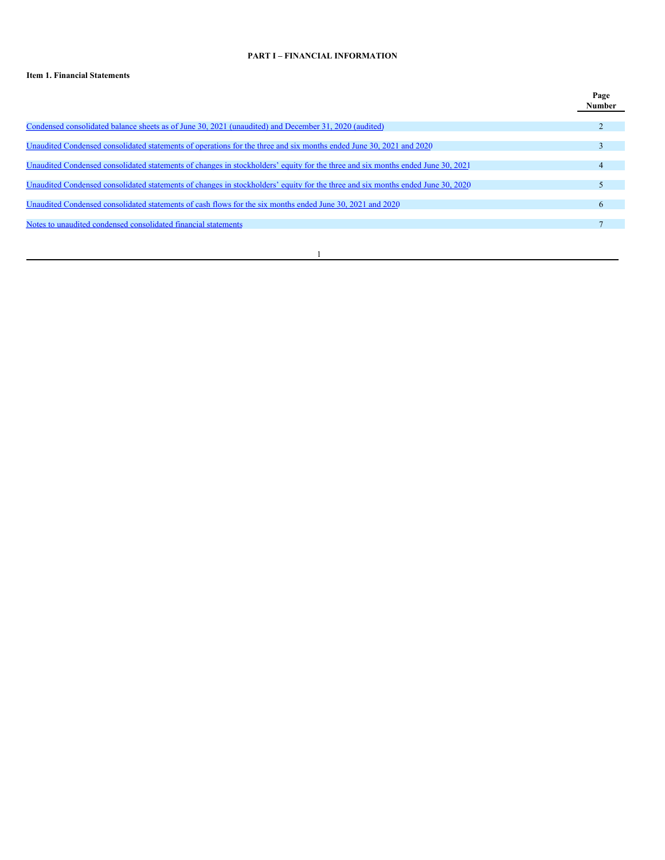# **PART I – FINANCIAL INFORMATION**

# **Item 1. Financial Statements**

|                                                                                                                                 | Page<br><b>Number</b> |
|---------------------------------------------------------------------------------------------------------------------------------|-----------------------|
| Condensed consolidated balance sheets as of June 30, 2021 (unaudited) and December 31, 2020 (audited)                           |                       |
| Unaudited Condensed consolidated statements of operations for the three and six months ended June 30, 2021 and 2020             |                       |
| Unaudited Condensed consolidated statements of changes in stockholders' equity for the three and six months ended June 30, 2021 | 4                     |
| Unaudited Condensed consolidated statements of changes in stockholders' equity for the three and six months ended June 30, 2020 |                       |
| Unaudited Condensed consolidated statements of cash flows for the six months ended June 30, 2021 and 2020                       | 6                     |
| Notes to unaudited condensed consolidated financial statements                                                                  |                       |
|                                                                                                                                 |                       |

1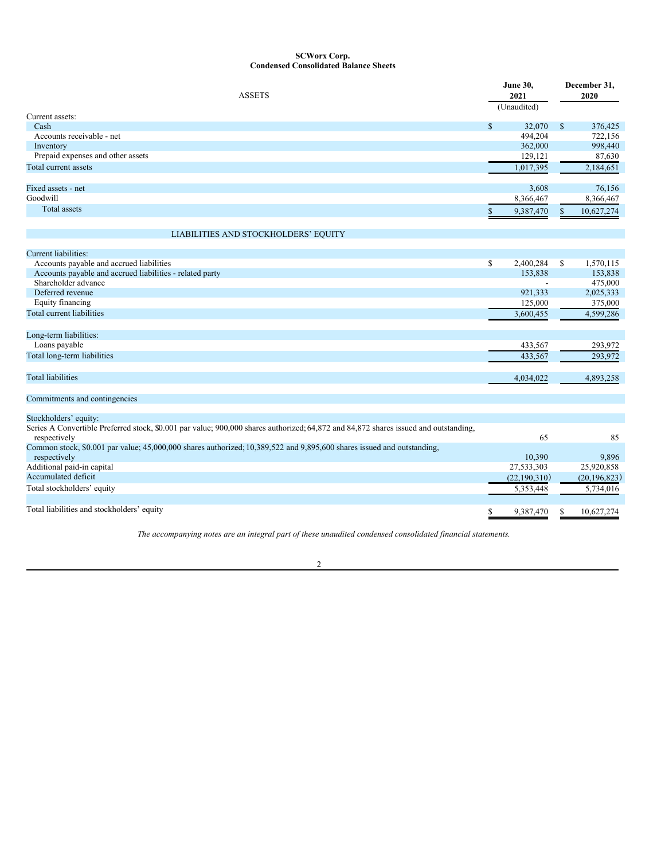# **SCWorx Corp. Condensed Consolidated Balance Sheets**

| <b>ASSETS</b>                                                                                                                                                 |              | <b>June 30,</b><br>2021<br>(Unaudited) |              | December 31,<br>2020 |
|---------------------------------------------------------------------------------------------------------------------------------------------------------------|--------------|----------------------------------------|--------------|----------------------|
| Current assets:                                                                                                                                               |              |                                        |              |                      |
| Cash                                                                                                                                                          | $\mathbb{S}$ | 32,070                                 | $\mathbb{S}$ | 376,425              |
| Accounts receivable - net                                                                                                                                     |              | 494,204                                |              | 722,156              |
| Inventory                                                                                                                                                     |              | 362,000                                |              | 998,440              |
| Prepaid expenses and other assets                                                                                                                             |              | 129,121                                |              | 87,630               |
| Total current assets                                                                                                                                          |              | 1,017,395                              |              | 2,184,651            |
| Fixed assets - net                                                                                                                                            |              | 3,608                                  |              | 76,156               |
| Goodwill                                                                                                                                                      |              | 8,366,467                              |              | 8,366,467            |
| Total assets                                                                                                                                                  |              | 9,387,470                              | S            | 10,627,274           |
| LIABILITIES AND STOCKHOLDERS' EQUITY                                                                                                                          |              |                                        |              |                      |
| <b>Current liabilities:</b>                                                                                                                                   |              |                                        |              |                      |
| Accounts payable and accrued liabilities                                                                                                                      | $\mathbb{S}$ | 2,400,284                              | \$           | 1,570,115            |
| Accounts payable and accrued liabilities - related party                                                                                                      |              | 153,838                                |              | 153,838              |
| Shareholder advance                                                                                                                                           |              |                                        |              | 475,000              |
| Deferred revenue                                                                                                                                              |              | 921,333                                |              | 2,025,333            |
| Equity financing                                                                                                                                              |              | 125,000                                |              | 375,000              |
| <b>Total current liabilities</b>                                                                                                                              |              | 3,600,455                              |              | 4,599,286            |
| Long-term liabilities:                                                                                                                                        |              |                                        |              |                      |
| Loans payable                                                                                                                                                 |              | 433,567                                |              | 293.972              |
| Total long-term liabilities                                                                                                                                   |              | 433,567                                |              | 293,972              |
| <b>Total liabilities</b>                                                                                                                                      |              |                                        |              |                      |
|                                                                                                                                                               |              | 4,034,022                              |              | 4,893,258            |
| Commitments and contingencies                                                                                                                                 |              |                                        |              |                      |
|                                                                                                                                                               |              |                                        |              |                      |
| Stockholders' equity:<br>Series A Convertible Preferred stock, \$0.001 par value; 900,000 shares authorized; 64,872 and 84,872 shares issued and outstanding, |              |                                        |              |                      |
| respectively                                                                                                                                                  |              | 65                                     |              | 85                   |
| Common stock, \$0.001 par value; 45,000,000 shares authorized; 10,389,522 and 9,895,600 shares issued and outstanding,<br>respectively                        |              | 10,390                                 |              | 9,896                |
| Additional paid-in capital                                                                                                                                    |              | 27,533,303                             |              | 25,920,858           |
| Accumulated deficit                                                                                                                                           |              | (22, 190, 310)                         |              | (20, 196, 823)       |
| Total stockholders' equity                                                                                                                                    |              | 5,353,448                              |              | 5,734,016            |
|                                                                                                                                                               |              |                                        |              |                      |
| Total liabilities and stockholders' equity                                                                                                                    | \$           | 9,387,470                              | S            | 10,627,274           |

*The accompanying notes are an integral part of these unaudited condensed consolidated financial statements.*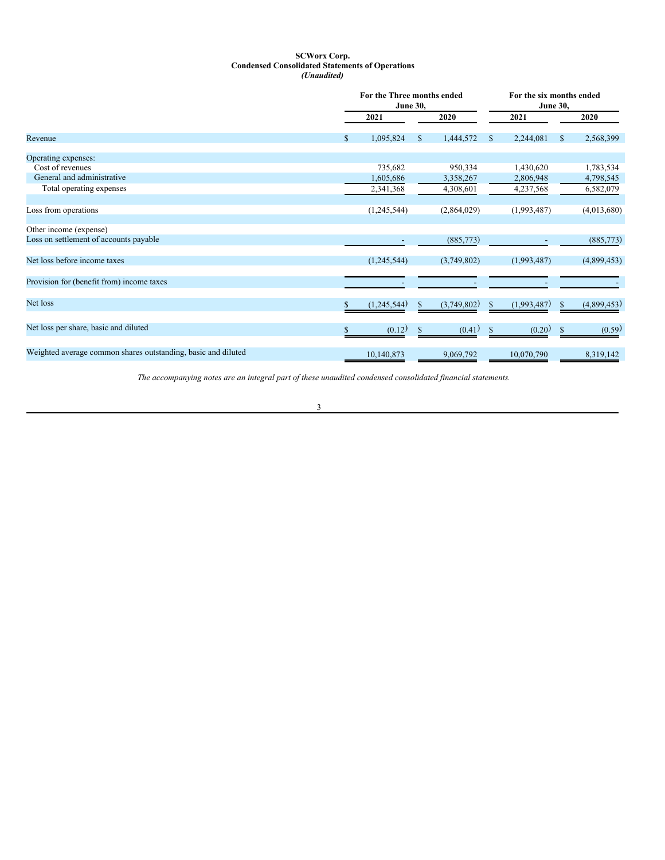## **SCWorx Corp. Condensed Consolidated Statements of Operations** *(Unaudited)*

|                                                               | For the Three months ended<br><b>June 30,</b> |              |             |    | For the six months ended<br><b>June 30,</b> |              |             |  |
|---------------------------------------------------------------|-----------------------------------------------|--------------|-------------|----|---------------------------------------------|--------------|-------------|--|
|                                                               | 2021                                          |              | 2020        |    | 2021                                        |              | 2020        |  |
| Revenue                                                       | \$<br>1,095,824                               | $\mathbb{S}$ | 1,444,572   | \$ | 2,244,081                                   |              | 2,568,399   |  |
| Operating expenses:                                           |                                               |              |             |    |                                             |              |             |  |
| Cost of revenues                                              | 735,682                                       |              | 950,334     |    | 1,430,620                                   |              | 1,783,534   |  |
| General and administrative                                    | 1,605,686                                     |              | 3,358,267   |    | 2,806,948                                   |              | 4,798,545   |  |
| Total operating expenses                                      | 2,341,368                                     |              | 4,308,601   |    | 4,237,568                                   |              | 6,582,079   |  |
| Loss from operations                                          | (1,245,544)                                   |              | (2,864,029) |    | (1,993,487)                                 |              | (4,013,680) |  |
| Other income (expense)                                        |                                               |              |             |    |                                             |              |             |  |
| Loss on settlement of accounts payable                        |                                               |              | (885,773)   |    |                                             |              | (885,773)   |  |
| Net loss before income taxes                                  | (1,245,544)                                   |              | (3,749,802) |    | (1,993,487)                                 |              | (4,899,453) |  |
| Provision for (benefit from) income taxes                     |                                               |              |             |    |                                             |              |             |  |
| Net loss                                                      | (1,245,544)                                   |              | (3,749,802) | \$ | (1,993,487)                                 | $\mathbb{S}$ | (4,899,453) |  |
| Net loss per share, basic and diluted                         | (0.12)                                        | \$           | (0.41)      | \$ | (0.20)                                      | S            | (0.59)      |  |
| Weighted average common shares outstanding, basic and diluted |                                               |              |             |    |                                             |              |             |  |
|                                                               | 10,140,873                                    |              | 9,069,792   |    | 10,070,790                                  |              | 8,319,142   |  |

*The accompanying notes are an integral part of these unaudited condensed consolidated financial statements.*

# 3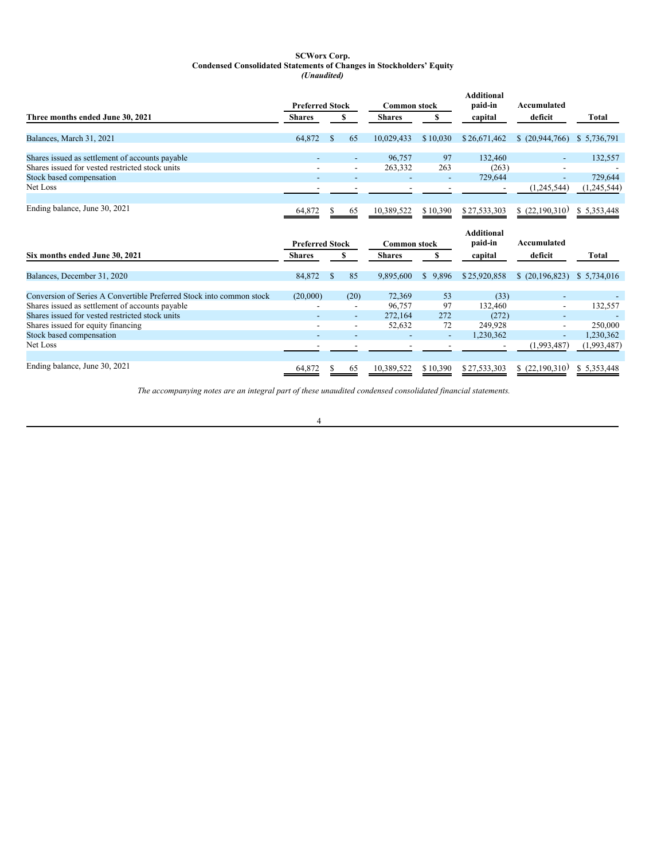## **SCWorx Corp. Condensed Consolidated Statements of Changes in Stockholders' Equity** *(Unaudited)*

|                                                 | <b>Preferred Stock</b>   |                          | <b>Common stock</b> |                          | <b>Additional</b><br>paid-in | Accumulated              |              |  |
|-------------------------------------------------|--------------------------|--------------------------|---------------------|--------------------------|------------------------------|--------------------------|--------------|--|
| Three months ended June 30, 2021                | <b>Shares</b>            |                          | <b>Shares</b>       |                          | capital                      | deficit                  | Total        |  |
| Balances, March 31, 2021                        | 64,872                   | 65                       | 10.029.433          | \$10,030                 | \$26,671,462                 | (20, 944, 766)           | \$ 5,736,791 |  |
| Shares issued as settlement of accounts payable | $\overline{\phantom{a}}$ | $\overline{\phantom{a}}$ | 96,757              | 97                       | 132,460                      | ٠                        | 132,557      |  |
| Shares issued for vested restricted stock units | $\overline{\phantom{a}}$ | $\overline{\phantom{a}}$ | 263,332             | 263                      | (263)                        | $\overline{\phantom{a}}$ |              |  |
| Stock based compensation                        | $\overline{\phantom{a}}$ |                          |                     | $\overline{\phantom{a}}$ | 729,644                      | $\overline{\phantom{a}}$ | 729,644      |  |
| Net Loss                                        |                          |                          |                     |                          |                              | (1,245,544)              | (1,245,544)  |  |
| Ending balance, June 30, 2021                   | 64,872                   | -65                      | 10,389,522          | \$10,390                 | \$27,533,303                 | \$(22,190,310)           | \$5,353,448  |  |

|                                                                      | <b>Preferred Stock</b>   |                          | Common stock  |          | <b>Additional</b><br>paid-in | Accumulated              |             |
|----------------------------------------------------------------------|--------------------------|--------------------------|---------------|----------|------------------------------|--------------------------|-------------|
| Six months ended June 30, 2021                                       | <b>Shares</b>            |                          | <b>Shares</b> |          | capital                      | deficit                  | Total       |
| Balances, December 31, 2020                                          | 84,872                   | 85                       | 9.895,600     | \$9.896  | \$25,920,858                 | (20, 196, 823)           | \$5,734,016 |
| Conversion of Series A Convertible Preferred Stock into common stock | (20,000)                 | (20)                     | 72,369        | 53       | (33)                         | $\overline{\phantom{a}}$ |             |
| Shares issued as settlement of accounts payable                      | -                        | $\overline{\phantom{a}}$ | 96,757        | 97       | 132,460                      | -                        | 132,557     |
| Shares issued for vested restricted stock units                      | $\overline{\phantom{0}}$ | $\overline{\phantom{a}}$ | 272,164       | 272      | (272)                        | $\overline{\phantom{0}}$ |             |
| Shares issued for equity financing                                   | $\overline{\phantom{0}}$ | $\overline{\phantom{a}}$ | 52,632        | 72       | 249.928                      | -                        | 250,000     |
| Stock based compensation                                             | $\overline{\phantom{a}}$ | -                        |               | -        | 1,230,362                    | $\overline{\phantom{m}}$ | 1,230,362   |
| Net Loss                                                             |                          |                          |               |          |                              | (1,993,487)              | (1,993,487) |
|                                                                      |                          |                          |               |          |                              |                          |             |
| Ending balance, June 30, 2021                                        | 64,872                   | 65                       | 10,389,522    | \$10,390 | \$27,533,303                 | \$(22,190,310)           | \$5,353,448 |

*The accompanying notes are an integral part of these unaudited condensed consolidated financial statements.*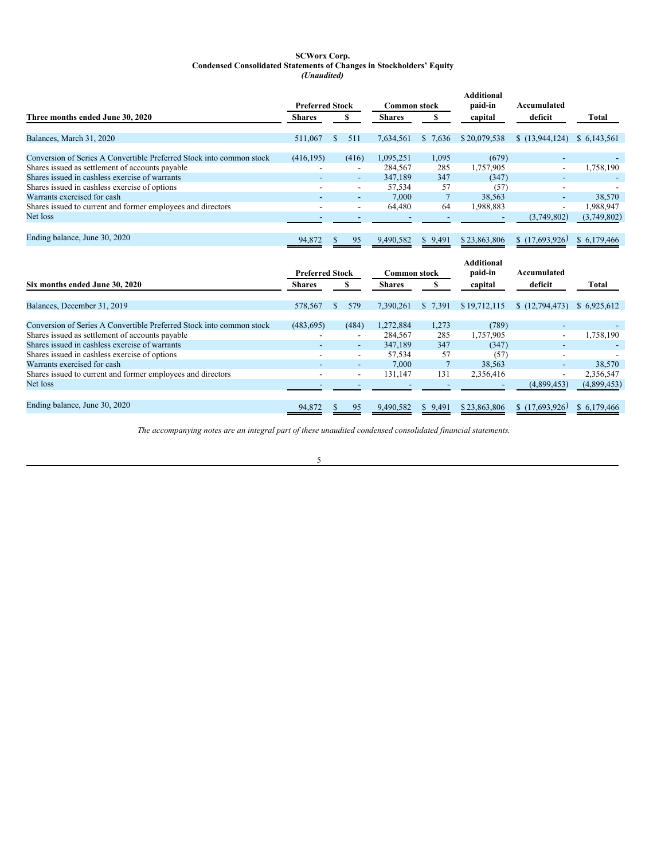## **SCWorx Corp. Condensed Consolidated Statements of Changes in Stockholders' Equity** *(Unaudited)*

|                                                                      | <b>Preferred Stock</b> |           |               | <b>Common stock</b> | <b>Additional</b><br>paid-in | Accumulated    |             |
|----------------------------------------------------------------------|------------------------|-----------|---------------|---------------------|------------------------------|----------------|-------------|
| Three months ended June 30, 2020                                     | <b>Shares</b>          | S         | <b>Shares</b> | S                   | capital                      | deficit        | Total       |
| Balances, March 31, 2020                                             | 511,067                | S<br>511  | 7,634,561     | \$7,636             | \$20,079,538                 | \$(13,944,124) | \$6,143,561 |
| Conversion of Series A Convertible Preferred Stock into common stock | (416, 195)             | (416)     | 1,095,251     | 1,095               | (679)                        |                |             |
| Shares issued as settlement of accounts payable                      |                        |           | 284,567       | 285                 | 1,757,905                    |                | 1,758,190   |
| Shares issued in cashless exercise of warrants                       |                        |           | 347,189       | 347                 | (347)                        |                |             |
| Shares issued in cashless exercise of options                        |                        |           | 57,534        | 57                  | (57)                         |                |             |
| Warrants exercised for cash                                          |                        |           | 7,000         | $7\phantom{.0}$     | 38,563                       |                | 38,570      |
| Shares issued to current and former employees and directors          |                        |           | 64,480        | 64                  | 1,988,883                    |                | 1,988,947   |
| Net loss                                                             |                        |           |               |                     |                              | (3,749,802)    | (3,749,802) |
| Ending balance, June 30, 2020                                        | 94,872                 | 95        | 9,490,582     | \$9,491             | \$23,863,806                 | (17,693,926)   | \$6,179,466 |
|                                                                      | <b>Preferred Stock</b> |           |               | <b>Common stock</b> | <b>Additional</b><br>paid-in | Accumulated    |             |
| Six months ended June 30, 2020                                       | <b>Shares</b>          | \$        | <b>Shares</b> | S                   | capital                      | deficit        | Total       |
| Balances, December 31, 2019                                          | 578,567                | 579<br>\$ | 7,390,261     | \$7,391             | \$19,712,115                 | \$(12,794,473) | \$6,925,612 |
|                                                                      |                        |           |               |                     |                              |                |             |
| Conversion of Series A Convertible Preferred Stock into common stock | (483, 695)             | (484)     | 1,272,884     | 1,273               | (789)                        |                |             |
| Shares issued as settlement of accounts payable                      |                        |           | 284,567       | 285                 | 1,757,905                    |                | 1,758,190   |
| Shares issued in cashless exercise of warrants                       |                        |           | 347,189       | 347                 | (347)                        |                |             |
| Shares issued in cashless exercise of options                        |                        |           | 57,534        | 57                  | (57)                         |                |             |
| Warrants exercised for cash                                          |                        |           | 7,000         | $\overline{7}$      | 38,563                       |                | 38,570      |
| Shares issued to current and former employees and directors          |                        |           | 131,147       | 131                 | 2,356,416                    |                | 2,356,547   |
| Net loss                                                             |                        |           |               |                     |                              | (4,899,453)    | (4,899,453) |

*The accompanying notes are an integral part of these unaudited condensed consolidated financial statements.*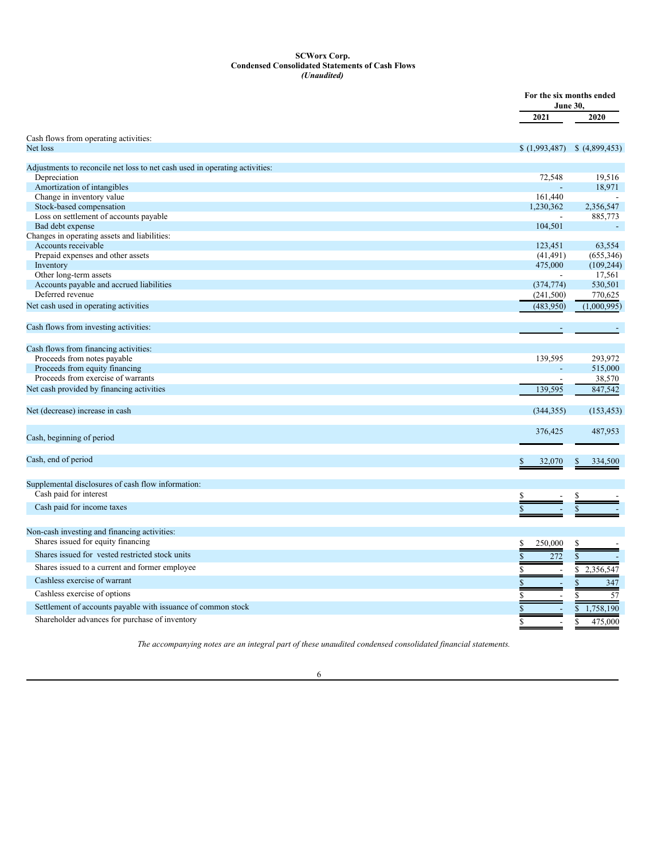### **SCWorx Corp. Condensed Consolidated Statements of Cash Flows** *(Unaudited)*

|                                                                             | For the six months ended<br><b>June 30,</b> |                   |
|-----------------------------------------------------------------------------|---------------------------------------------|-------------------|
|                                                                             | 2021                                        | 2020              |
| Cash flows from operating activities:                                       |                                             |                   |
| Net loss                                                                    | (1,993,487)                                 | \$ (4,899,453)    |
|                                                                             |                                             |                   |
| Adjustments to reconcile net loss to net cash used in operating activities: |                                             |                   |
| Depreciation                                                                | 72,548                                      | 19,516            |
| Amortization of intangibles<br>Change in inventory value                    | 161,440                                     | 18,971            |
| Stock-based compensation                                                    | 1,230,362                                   | 2,356,547         |
| Loss on settlement of accounts payable                                      | $\blacksquare$                              | 885,773           |
| Bad debt expense                                                            | 104,501                                     |                   |
| Changes in operating assets and liabilities:                                |                                             |                   |
| Accounts receivable                                                         | 123,451                                     | 63,554            |
| Prepaid expenses and other assets                                           | (41, 491)                                   | (655, 346)        |
| Inventory                                                                   | 475,000                                     | (109, 244)        |
| Other long-term assets<br>Accounts payable and accrued liabilities          | (374, 774)                                  | 17,561<br>530,501 |
| Deferred revenue                                                            | (241,500)                                   | 770,625           |
| Net cash used in operating activities                                       | (483,950)                                   | (1,000,995)       |
|                                                                             |                                             |                   |
| Cash flows from investing activities:                                       |                                             |                   |
| Cash flows from financing activities:                                       |                                             |                   |
| Proceeds from notes payable                                                 | 139,595                                     | 293,972           |
| Proceeds from equity financing                                              |                                             | 515,000           |
| Proceeds from exercise of warrants                                          |                                             | 38,570            |
| Net cash provided by financing activities                                   | 139,595                                     | 847,542           |
| Net (decrease) increase in cash                                             | (344, 355)                                  | (153, 453)        |
| Cash, beginning of period                                                   | 376,425                                     | 487,953           |
|                                                                             |                                             |                   |
| Cash, end of period                                                         | 32,070                                      | \$<br>334,500     |
|                                                                             |                                             |                   |
| Supplemental disclosures of cash flow information:                          |                                             |                   |
| Cash paid for interest                                                      |                                             |                   |
| Cash paid for income taxes                                                  |                                             |                   |
| Non-cash investing and financing activities:                                |                                             |                   |
| Shares issued for equity financing                                          | S<br>250,000                                |                   |
| Shares issued for vested restricted stock units                             | 272<br>S                                    | S                 |
| Shares issued to a current and former employee                              | S                                           | 2,356,547<br>\$   |
| Cashless exercise of warrant                                                |                                             | \$                |
| Cashless exercise of options                                                | \$                                          | 347               |
|                                                                             | S<br>$\overline{a}$                         | 57<br>S           |
| Settlement of accounts payable with issuance of common stock                | \$                                          | \$<br>1,758,190   |
| Shareholder advances for purchase of inventory                              | \$                                          | \$<br>475,000     |

*The accompanying notes are an integral part of these unaudited condensed consolidated financial statements.*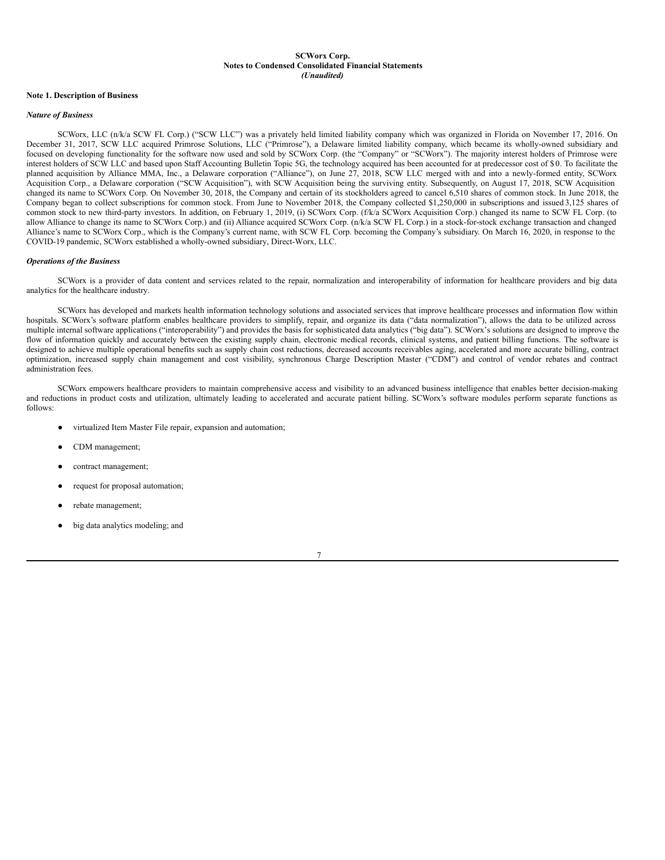#### **SCWorx Corp. Notes to Condensed Consolidated Financial Statements** *(Unaudited)*

# **Note 1. Description of Business**

## *Nature of Business*

SCWorx, LLC (n/k/a SCW FL Corp.) ("SCW LLC") was a privately held limited liability company which was organized in Florida on November 17, 2016. On December 31, 2017, SCW LLC acquired Primrose Solutions, LLC ("Primrose"), a Delaware limited liability company, which became its wholly-owned subsidiary and focused on developing functionality for the software now used and sold by SCWorx Corp. (the "Company" or "SCWorx"). The majority interest holders of Primrose were interest holders of SCW LLC and based upon Staff Accounting Bulletin Topic 5G, the technology acquired has been accounted for at predecessor cost of \$0. To facilitate the planned acquisition by Alliance MMA, Inc., a Delaware corporation ("Alliance"), on June 27, 2018, SCW LLC merged with and into a newly-formed entity, SCWorx Acquisition Corp., a Delaware corporation ("SCW Acquisition"), with SCW Acquisition being the surviving entity. Subsequently, on August 17, 2018, SCW Acquisition changed its name to SCWorx Corp. On November 30, 2018, the Company and certain of its stockholders agreed to cancel 6,510 shares of common stock. In June 2018, the Company began to collect subscriptions for common stock. From June to November 2018, the Company collected \$1,250,000 in subscriptions and issued 3,125 shares of common stock to new third-party investors. In addition, on February 1, 2019, (i) SCWorx Corp. (f/k/a SCWorx Acquisition Corp.) changed its name to SCW FL Corp. (to allow Alliance to change its name to SCWorx Corp.) and (ii) Alliance acquired SCWorx Corp. (n/k/a SCW FL Corp.) in a stock-for-stock exchange transaction and changed Alliance's name to SCWorx Corp., which is the Company's current name, with SCW FL Corp. becoming the Company's subsidiary. On March 16, 2020, in response to the COVID-19 pandemic, SCWorx established a wholly-owned subsidiary, Direct-Worx, LLC.

## *Operations of the Business*

SCWorx is a provider of data content and services related to the repair, normalization and interoperability of information for healthcare providers and big data analytics for the healthcare industry.

SCWorx has developed and markets health information technology solutions and associated services that improve healthcare processes and information flow within hospitals. SCWorx's software platform enables healthcare providers to simplify, repair, and organize its data ("data normalization"), allows the data to be utilized across multiple internal software applications ("interoperability") and provides the basis for sophisticated data analytics ("big data"). SCWorx's solutions are designed to improve the flow of information quickly and accurately between the existing supply chain, electronic medical records, clinical systems, and patient billing functions. The software is designed to achieve multiple operational benefits such as supply chain cost reductions, decreased accounts receivables aging, accelerated and more accurate billing, contract optimization, increased supply chain management and cost visibility, synchronous Charge Description Master ("CDM") and control of vendor rebates and contract administration fees.

SCWorx empowers healthcare providers to maintain comprehensive access and visibility to an advanced business intelligence that enables better decision-making and reductions in product costs and utilization, ultimately leading to accelerated and accurate patient billing. SCWorx's software modules perform separate functions as follows:

- virtualized Item Master File repair, expansion and automation;
- CDM management;
- contract management;
- request for proposal automation;
- rebate management:
- big data analytics modeling; and

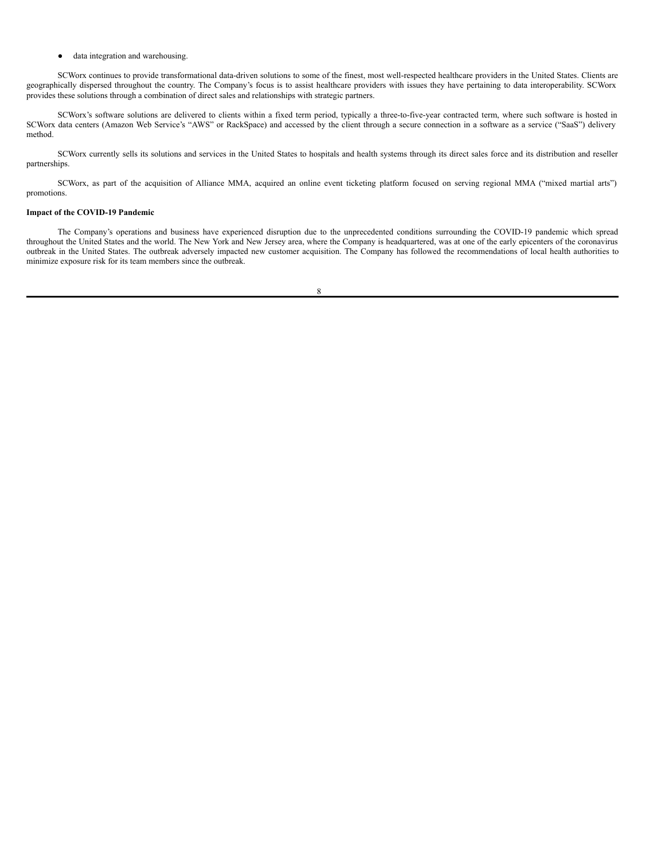● data integration and warehousing.

SCWorx continues to provide transformational data-driven solutions to some of the finest, most well-respected healthcare providers in the United States. Clients are geographically dispersed throughout the country. The Company's focus is to assist healthcare providers with issues they have pertaining to data interoperability. SCWorx provides these solutions through a combination of direct sales and relationships with strategic partners.

SCWorx's software solutions are delivered to clients within a fixed term period, typically a three-to-five-year contracted term, where such software is hosted in SCWorx data centers (Amazon Web Service's "AWS" or RackSpace) and accessed by the client through a secure connection in a software as a service ("SaaS") delivery method.

SCWorx currently sells its solutions and services in the United States to hospitals and health systems through its direct sales force and its distribution and reseller partnerships.

SCWorx, as part of the acquisition of Alliance MMA, acquired an online event ticketing platform focused on serving regional MMA ("mixed martial arts") promotions.

## **Impact of the COVID-19 Pandemic**

The Company's operations and business have experienced disruption due to the unprecedented conditions surrounding the COVID-19 pandemic which spread throughout the United States and the world. The New York and New Jersey area, where the Company is headquartered, was at one of the early epicenters of the coronavirus outbreak in the United States. The outbreak adversely impacted new customer acquisition. The Company has followed the recommendations of local health authorities to minimize exposure risk for its team members since the outbreak.

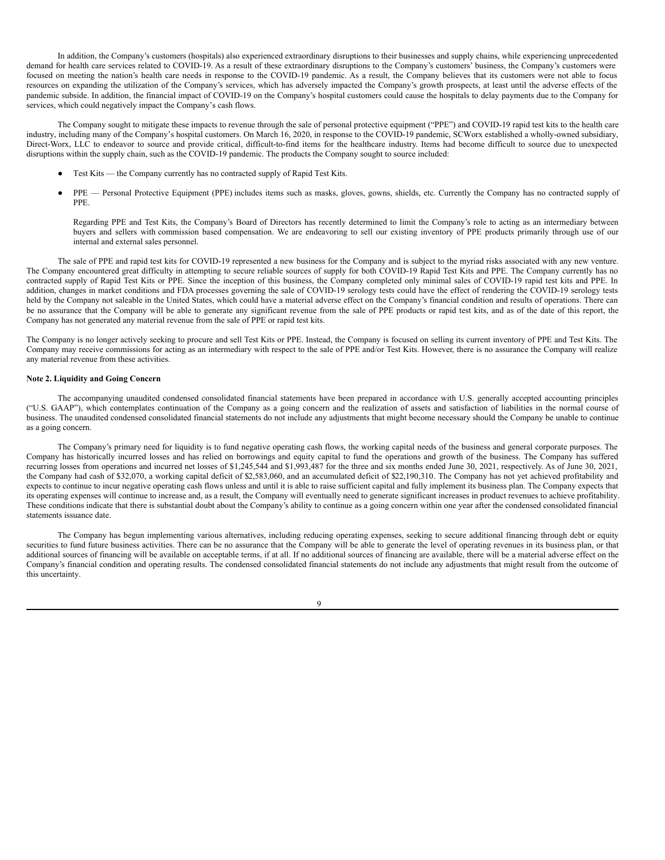In addition, the Company's customers (hospitals) also experienced extraordinary disruptions to their businesses and supply chains, while experiencing unprecedented demand for health care services related to COVID-19. As a result of these extraordinary disruptions to the Company's customers' business, the Company's customers were focused on meeting the nation's health care needs in response to the COVID-19 pandemic. As a result, the Company believes that its customers were not able to focus resources on expanding the utilization of the Company's services, which has adversely impacted the Company's growth prospects, at least until the adverse effects of the pandemic subside. In addition, the financial impact of COVID-19 on the Company's hospital customers could cause the hospitals to delay payments due to the Company for services, which could negatively impact the Company's cash flows.

The Company sought to mitigate these impacts to revenue through the sale of personal protective equipment ("PPE") and COVID-19 rapid test kits to the health care industry, including many of the Company's hospital customers. On March 16, 2020, in response to the COVID-19 pandemic, SCWorx established a wholly-owned subsidiary, Direct-Worx, LLC to endeavor to source and provide critical, difficult-to-find items for the healthcare industry. Items had become difficult to source due to unexpected disruptions within the supply chain, such as the COVID-19 pandemic. The products the Company sought to source included:

- Test Kits the Company currently has no contracted supply of Rapid Test Kits.
- PPE Personal Protective Equipment (PPE) includes items such as masks, gloves, gowns, shields, etc. Currently the Company has no contracted supply of PPE.

Regarding PPE and Test Kits, the Company's Board of Directors has recently determined to limit the Company's role to acting as an intermediary between buyers and sellers with commission based compensation. We are endeavoring to sell our existing inventory of PPE products primarily through use of our internal and external sales personnel.

The sale of PPE and rapid test kits for COVID-19 represented a new business for the Company and is subject to the myriad risks associated with any new venture. The Company encountered great difficulty in attempting to secure reliable sources of supply for both COVID-19 Rapid Test Kits and PPE. The Company currently has no contracted supply of Rapid Test Kits or PPE. Since the inception of this business, the Company completed only minimal sales of COVID-19 rapid test kits and PPE. In addition, changes in market conditions and FDA processes governing the sale of COVID-19 serology tests could have the effect of rendering the COVID-19 serology tests held by the Company not saleable in the United States, which could have a material adverse effect on the Company's financial condition and results of operations. There can be no assurance that the Company will be able to generate any significant revenue from the sale of PPE products or rapid test kits, and as of the date of this report, the Company has not generated any material revenue from the sale of PPE or rapid test kits.

The Company is no longer actively seeking to procure and sell Test Kits or PPE. Instead, the Company is focused on selling its current inventory of PPE and Test Kits. The Company may receive commissions for acting as an intermediary with respect to the sale of PPE and/or Test Kits. However, there is no assurance the Company will realize any material revenue from these activities.

# **Note 2. Liquidity and Going Concern**

The accompanying unaudited condensed consolidated financial statements have been prepared in accordance with U.S. generally accepted accounting principles ("U.S. GAAP"), which contemplates continuation of the Company as a going concern and the realization of assets and satisfaction of liabilities in the normal course of business. The unaudited condensed consolidated financial statements do not include any adjustments that might become necessary should the Company be unable to continue as a going concern.

The Company's primary need for liquidity is to fund negative operating cash flows, the working capital needs of the business and general corporate purposes. The Company has historically incurred losses and has relied on borrowings and equity capital to fund the operations and growth of the business. The Company has suffered recurring losses from operations and incurred net losses of \$1,245,544 and \$1,993,487 for the three and six months ended June 30, 2021, respectively. As of June 30, 2021, the Company had cash of \$32,070, a working capital deficit of \$2,583,060, and an accumulated deficit of \$22,190,310. The Company has not yet achieved profitability and expects to continue to incur negative operating cash flows unless and until it is able to raise sufficient capital and fully implement its business plan. The Company expects that its operating expenses will continue to increase and, as a result, the Company will eventually need to generate significant increases in product revenues to achieve profitability. These conditions indicate that there is substantial doubt about the Company's ability to continue as a going concern within one year after the condensed consolidated financial statements issuance date.

The Company has begun implementing various alternatives, including reducing operating expenses, seeking to secure additional financing through debt or equity securities to fund future business activities. There can be no assurance that the Company will be able to generate the level of operating revenues in its business plan, or that additional sources of financing will be available on acceptable terms, if at all. If no additional sources of financing are available, there will be a material adverse effect on the Company's financial condition and operating results. The condensed consolidated financial statements do not include any adjustments that might result from the outcome of this uncertainty.

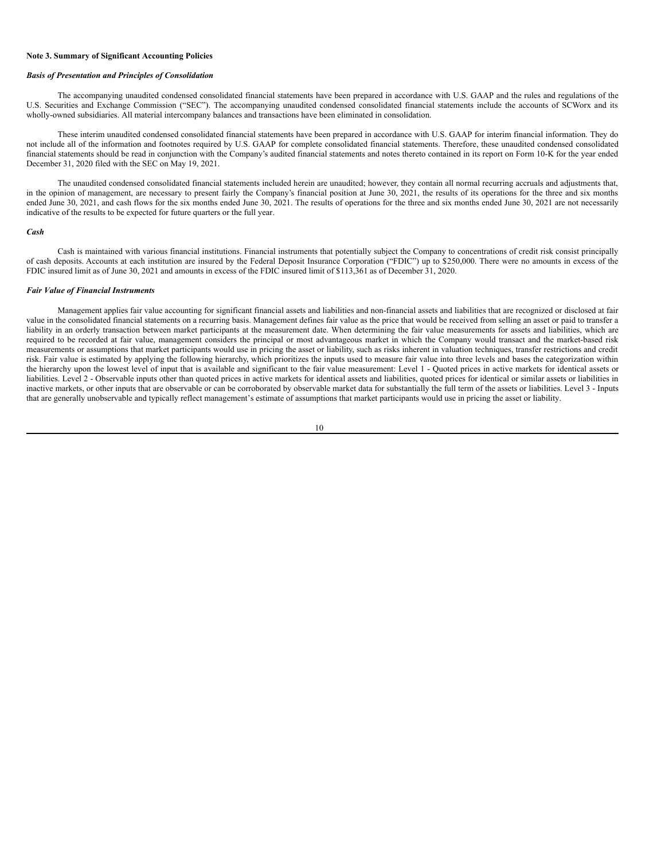#### **Note 3. Summary of Significant Accounting Policies**

### *Basis of Presentation and Principles of Consolidation*

The accompanying unaudited condensed consolidated financial statements have been prepared in accordance with U.S. GAAP and the rules and regulations of the U.S. Securities and Exchange Commission ("SEC"). The accompanying unaudited condensed consolidated financial statements include the accounts of SCWorx and its wholly-owned subsidiaries. All material intercompany balances and transactions have been eliminated in consolidation.

These interim unaudited condensed consolidated financial statements have been prepared in accordance with U.S. GAAP for interim financial information. They do not include all of the information and footnotes required by U.S. GAAP for complete consolidated financial statements. Therefore, these unaudited condensed consolidated financial statements should be read in conjunction with the Company's audited financial statements and notes thereto contained in its report on Form 10-K for the year ended December 31, 2020 filed with the SEC on May 19, 2021.

The unaudited condensed consolidated financial statements included herein are unaudited; however, they contain all normal recurring accruals and adjustments that, in the opinion of management, are necessary to present fairly the Company's financial position at June 30, 2021, the results of its operations for the three and six months ended June 30, 2021, and cash flows for the six months ended June 30, 2021. The results of operations for the three and six months ended June 30, 2021 are not necessarily indicative of the results to be expected for future quarters or the full year.

## *Cash*

Cash is maintained with various financial institutions. Financial instruments that potentially subject the Company to concentrations of credit risk consist principally of cash deposits. Accounts at each institution are insured by the Federal Deposit Insurance Corporation ("FDIC") up to \$250,000. There were no amounts in excess of the FDIC insured limit as of June 30, 2021 and amounts in excess of the FDIC insured limit of \$113,361 as of December 31, 2020.

#### *Fair Value of Financial Instruments*

Management applies fair value accounting for significant financial assets and liabilities and non-financial assets and liabilities that are recognized or disclosed at fair value in the consolidated financial statements on a recurring basis. Management defines fair value as the price that would be received from selling an asset or paid to transfer a liability in an orderly transaction between market participants at the measurement date. When determining the fair value measurements for assets and liabilities, which are required to be recorded at fair value, management considers the principal or most advantageous market in which the Company would transact and the market-based risk measurements or assumptions that market participants would use in pricing the asset or liability, such as risks inherent in valuation techniques, transfer restrictions and credit risk. Fair value is estimated by applying the following hierarchy, which prioritizes the inputs used to measure fair value into three levels and bases the categorization within the hierarchy upon the lowest level of input that is available and significant to the fair value measurement: Level 1 - Quoted prices in active markets for identical assets or liabilities. Level 2 - Observable inputs other than quoted prices in active markets for identical assets and liabilities, quoted prices for identical or similar assets or liabilities in inactive markets, or other inputs that are observable or can be corroborated by observable market data for substantially the full term of the assets or liabilities. Level 3 - Inputs that are generally unobservable and typically reflect management's estimate of assumptions that market participants would use in pricing the asset or liability.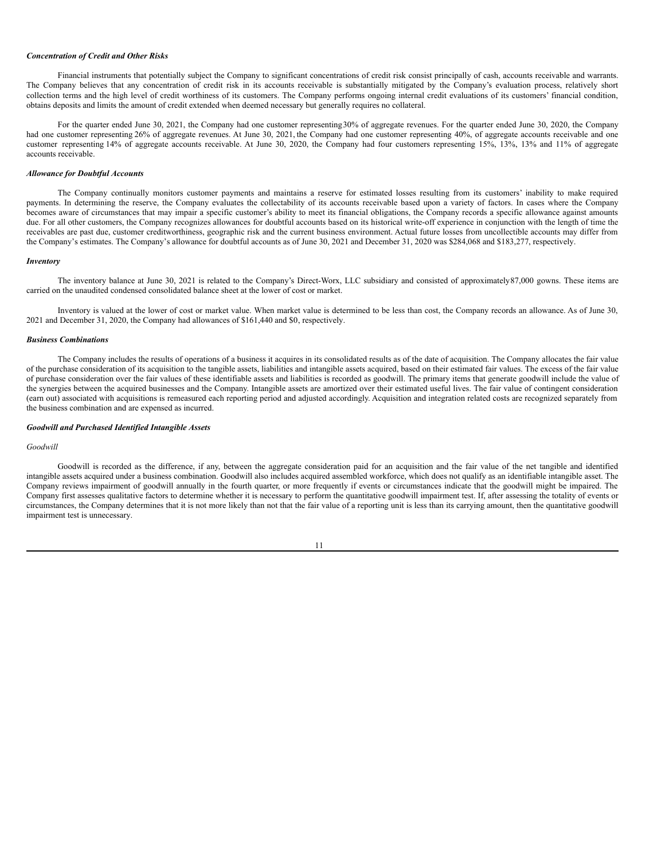#### *Concentration of Credit and Other Risks*

Financial instruments that potentially subject the Company to significant concentrations of credit risk consist principally of cash, accounts receivable and warrants. The Company believes that any concentration of credit risk in its accounts receivable is substantially mitigated by the Company's evaluation process, relatively short collection terms and the high level of credit worthiness of its customers. The Company performs ongoing internal credit evaluations of its customers' financial condition, obtains deposits and limits the amount of credit extended when deemed necessary but generally requires no collateral.

For the quarter ended June 30, 2021, the Company had one customer representing30% of aggregate revenues. For the quarter ended June 30, 2020, the Company had one customer representing 26% of aggregate revenues. At June 30, 2021, the Company had one customer representing 40%, of aggregate accounts receivable and one customer representing 14% of aggregate accounts receivable. At June 30, 2020, the Company had four customers representing 15%, 13%, 13% and 11% of aggregate accounts receivable.

## *Allowance for Doubtful Accounts*

The Company continually monitors customer payments and maintains a reserve for estimated losses resulting from its customers' inability to make required payments. In determining the reserve, the Company evaluates the collectability of its accounts receivable based upon a variety of factors. In cases where the Company becomes aware of circumstances that may impair a specific customer's ability to meet its financial obligations, the Company records a specific allowance against amounts due. For all other customers, the Company recognizes allowances for doubtful accounts based on its historical write-off experience in conjunction with the length of time the receivables are past due, customer creditworthiness, geographic risk and the current business environment. Actual future losses from uncollectible accounts may differ from the Company's estimates. The Company's allowance for doubtful accounts as of June 30, 2021 and December 31, 2020 was \$284,068 and \$183,277, respectively.

## *Inventory*

The inventory balance at June 30, 2021 is related to the Company's Direct-Worx, LLC subsidiary and consisted of approximately87,000 gowns. These items are carried on the unaudited condensed consolidated balance sheet at the lower of cost or market.

Inventory is valued at the lower of cost or market value. When market value is determined to be less than cost, the Company records an allowance. As of June 30, 2021 and December 31, 2020, the Company had allowances of \$161,440 and \$0, respectively.

## *Business Combinations*

The Company includes the results of operations of a business it acquires in its consolidated results as of the date of acquisition. The Company allocates the fair value of the purchase consideration of its acquisition to the tangible assets, liabilities and intangible assets acquired, based on their estimated fair values. The excess of the fair value of purchase consideration over the fair values of these identifiable assets and liabilities is recorded as goodwill. The primary items that generate goodwill include the value of the synergies between the acquired businesses and the Company. Intangible assets are amortized over their estimated useful lives. The fair value of contingent consideration (earn out) associated with acquisitions is remeasured each reporting period and adjusted accordingly. Acquisition and integration related costs are recognized separately from the business combination and are expensed as incurred.

#### *Goodwill and Purchased Identified Intangible Assets*

### *Goodwill*

Goodwill is recorded as the difference, if any, between the aggregate consideration paid for an acquisition and the fair value of the net tangible and identified intangible assets acquired under a business combination. Goodwill also includes acquired assembled workforce, which does not qualify as an identifiable intangible asset. The Company reviews impairment of goodwill annually in the fourth quarter, or more frequently if events or circumstances indicate that the goodwill might be impaired. The Company first assesses qualitative factors to determine whether it is necessary to perform the quantitative goodwill impairment test. If, after assessing the totality of events or circumstances, the Company determines that it is not more likely than not that the fair value of a reporting unit is less than its carrying amount, then the quantitative goodwill impairment test is unnecessary.

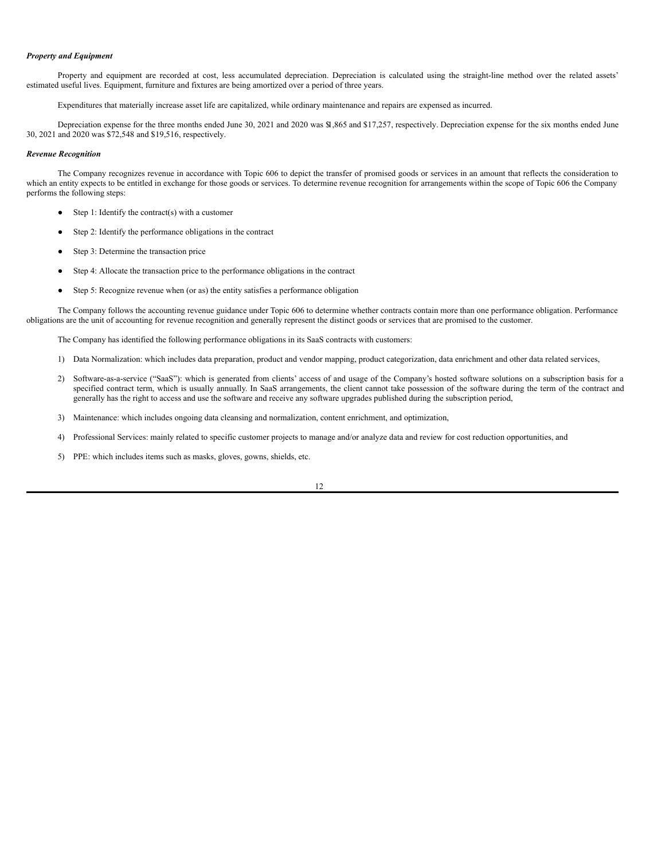#### *Property and Equipment*

Property and equipment are recorded at cost, less accumulated depreciation. Depreciation is calculated using the straight-line method over the related assets' estimated useful lives. Equipment, furniture and fixtures are being amortized over a period of three years.

Expenditures that materially increase asset life are capitalized, while ordinary maintenance and repairs are expensed as incurred.

Depreciation expense for the three months ended June 30, 2021 and 2020 was \$1,865 and \$17,257, respectively. Depreciation expense for the six months ended June 30, 2021 and 2020 was \$72,548 and \$19,516, respectively.

## *Revenue Recognition*

The Company recognizes revenue in accordance with Topic 606 to depict the transfer of promised goods or services in an amount that reflects the consideration to which an entity expects to be entitled in exchange for those goods or services. To determine revenue recognition for arrangements within the scope of Topic 606 the Company performs the following steps:

- $\bullet$  Step 1: Identify the contract(s) with a customer
- Step 2: Identify the performance obligations in the contract
- Step 3: Determine the transaction price
- Step 4: Allocate the transaction price to the performance obligations in the contract
- Step 5: Recognize revenue when (or as) the entity satisfies a performance obligation

The Company follows the accounting revenue guidance under Topic 606 to determine whether contracts contain more than one performance obligation. Performance obligations are the unit of accounting for revenue recognition and generally represent the distinct goods or services that are promised to the customer.

The Company has identified the following performance obligations in its SaaS contracts with customers:

- 1) Data Normalization: which includes data preparation, product and vendor mapping, product categorization, data enrichment and other data related services,
- 2) Software-as-a-service ("SaaS"): which is generated from clients' access of and usage of the Company's hosted software solutions on a subscription basis for a specified contract term, which is usually annually. In SaaS arrangements, the client cannot take possession of the software during the term of the contract and generally has the right to access and use the software and receive any software upgrades published during the subscription period,
- 3) Maintenance: which includes ongoing data cleansing and normalization, content enrichment, and optimization,
- 4) Professional Services: mainly related to specific customer projects to manage and/or analyze data and review for cost reduction opportunities, and
- 5) PPE: which includes items such as masks, gloves, gowns, shields, etc.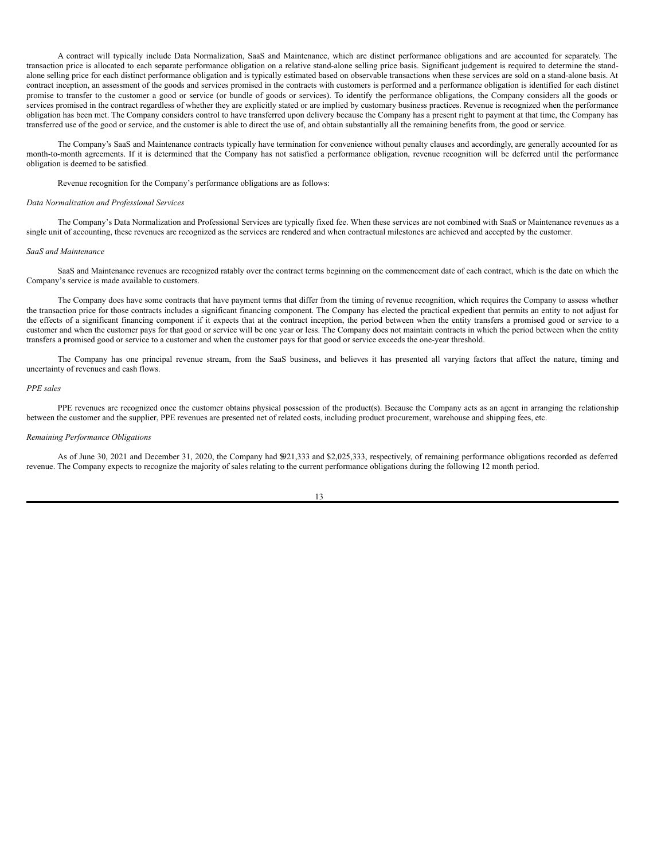A contract will typically include Data Normalization, SaaS and Maintenance, which are distinct performance obligations and are accounted for separately. The transaction price is allocated to each separate performance obligation on a relative stand-alone selling price basis. Significant judgement is required to determine the standalone selling price for each distinct performance obligation and is typically estimated based on observable transactions when these services are sold on a stand-alone basis. At contract inception, an assessment of the goods and services promised in the contracts with customers is performed and a performance obligation is identified for each distinct promise to transfer to the customer a good or service (or bundle of goods or services). To identify the performance obligations, the Company considers all the goods or services promised in the contract regardless of whether they are explicitly stated or are implied by customary business practices. Revenue is recognized when the performance obligation has been met. The Company considers control to have transferred upon delivery because the Company has a present right to payment at that time, the Company has transferred use of the good or service, and the customer is able to direct the use of, and obtain substantially all the remaining benefits from, the good or service.

The Company's SaaS and Maintenance contracts typically have termination for convenience without penalty clauses and accordingly, are generally accounted for as month-to-month agreements. If it is determined that the Company has not satisfied a performance obligation, revenue recognition will be deferred until the performance obligation is deemed to be satisfied.

Revenue recognition for the Company's performance obligations are as follows:

#### *Data Normalization and Professional Services*

The Company's Data Normalization and Professional Services are typically fixed fee. When these services are not combined with SaaS or Maintenance revenues as a single unit of accounting, these revenues are recognized as the services are rendered and when contractual milestones are achieved and accepted by the customer.

#### *SaaS and Maintenance*

SaaS and Maintenance revenues are recognized ratably over the contract terms beginning on the commencement date of each contract, which is the date on which the Company's service is made available to customers.

The Company does have some contracts that have payment terms that differ from the timing of revenue recognition, which requires the Company to assess whether the transaction price for those contracts includes a significant financing component. The Company has elected the practical expedient that permits an entity to not adjust for the effects of a significant financing component if it expects that at the contract inception, the period between when the entity transfers a promised good or service to a customer and when the customer pays for that good or service will be one year or less. The Company does not maintain contracts in which the period between when the entity transfers a promised good or service to a customer and when the customer pays for that good or service exceeds the one-year threshold.

The Company has one principal revenue stream, from the SaaS business, and believes it has presented all varying factors that affect the nature, timing and uncertainty of revenues and cash flows.

#### *PPE sales*

PPE revenues are recognized once the customer obtains physical possession of the product(s). Because the Company acts as an agent in arranging the relationship between the customer and the supplier, PPE revenues are presented net of related costs, including product procurement, warehouse and shipping fees, etc.

#### *Remaining Performance Obligations*

As of June 30, 2021 and December 31, 2020, the Company had \$921,333 and \$2,025,333, respectively, of remaining performance obligations recorded as deferred revenue. The Company expects to recognize the majority of sales relating to the current performance obligations during the following 12 month period.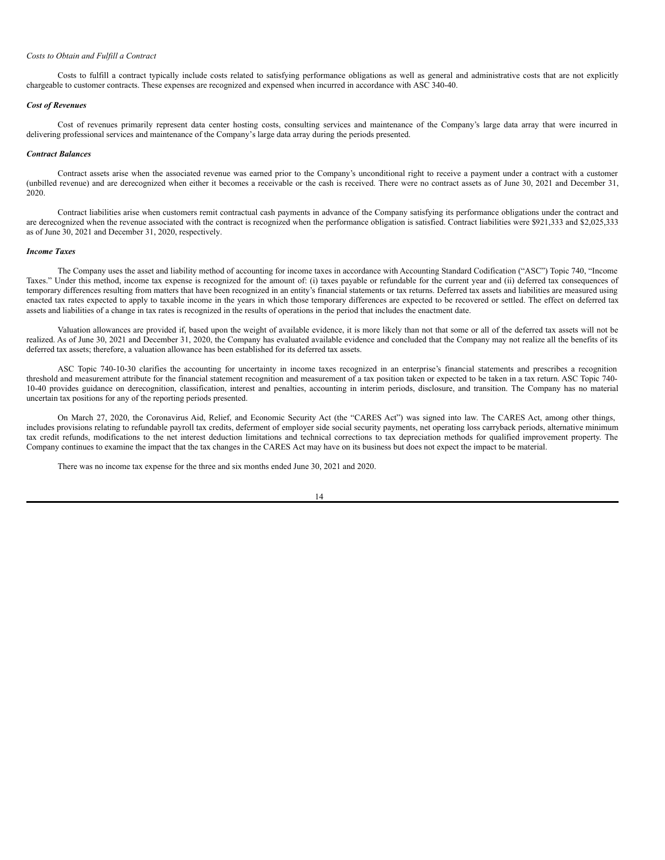# *Costs to Obtain and Fulfill a Contract*

Costs to fulfill a contract typically include costs related to satisfying performance obligations as well as general and administrative costs that are not explicitly chargeable to customer contracts. These expenses are recognized and expensed when incurred in accordance with ASC 340-40.

## *Cost of Revenues*

Cost of revenues primarily represent data center hosting costs, consulting services and maintenance of the Company's large data array that were incurred in delivering professional services and maintenance of the Company's large data array during the periods presented.

#### *Contract Balances*

Contract assets arise when the associated revenue was earned prior to the Company's unconditional right to receive a payment under a contract with a customer (unbilled revenue) and are derecognized when either it becomes a receivable or the cash is received. There were no contract assets as of June 30, 2021 and December 31, 2020.

Contract liabilities arise when customers remit contractual cash payments in advance of the Company satisfying its performance obligations under the contract and are derecognized when the revenue associated with the contract is recognized when the performance obligation is satisfied. Contract liabilities were \$921,333 and \$2,025,333 as of June 30, 2021 and December 31, 2020, respectively.

#### *Income Taxes*

The Company uses the asset and liability method of accounting for income taxes in accordance with Accounting Standard Codification ("ASC") Topic 740, "Income Taxes." Under this method, income tax expense is recognized for the amount of: (i) taxes payable or refundable for the current year and (ii) deferred tax consequences of temporary differences resulting from matters that have been recognized in an entity's financial statements or tax returns. Deferred tax assets and liabilities are measured using enacted tax rates expected to apply to taxable income in the years in which those temporary differences are expected to be recovered or settled. The effect on deferred tax assets and liabilities of a change in tax rates is recognized in the results of operations in the period that includes the enactment date.

Valuation allowances are provided if, based upon the weight of available evidence, it is more likely than not that some or all of the deferred tax assets will not be realized. As of June 30, 2021 and December 31, 2020, the Company has evaluated available evidence and concluded that the Company may not realize all the benefits of its deferred tax assets; therefore, a valuation allowance has been established for its deferred tax assets.

ASC Topic 740-10-30 clarifies the accounting for uncertainty in income taxes recognized in an enterprise's financial statements and prescribes a recognition threshold and measurement attribute for the financial statement recognition and measurement of a tax position taken or expected to be taken in a tax return. ASC Topic 740- 10-40 provides guidance on derecognition, classification, interest and penalties, accounting in interim periods, disclosure, and transition. The Company has no material uncertain tax positions for any of the reporting periods presented.

On March 27, 2020, the Coronavirus Aid, Relief, and Economic Security Act (the "CARES Act") was signed into law. The CARES Act, among other things, includes provisions relating to refundable payroll tax credits, deferment of employer side social security payments, net operating loss carryback periods, alternative minimum tax credit refunds, modifications to the net interest deduction limitations and technical corrections to tax depreciation methods for qualified improvement property. The Company continues to examine the impact that the tax changes in the CARES Act may have on its business but does not expect the impact to be material.

There was no income tax expense for the three and six months ended June 30, 2021 and 2020.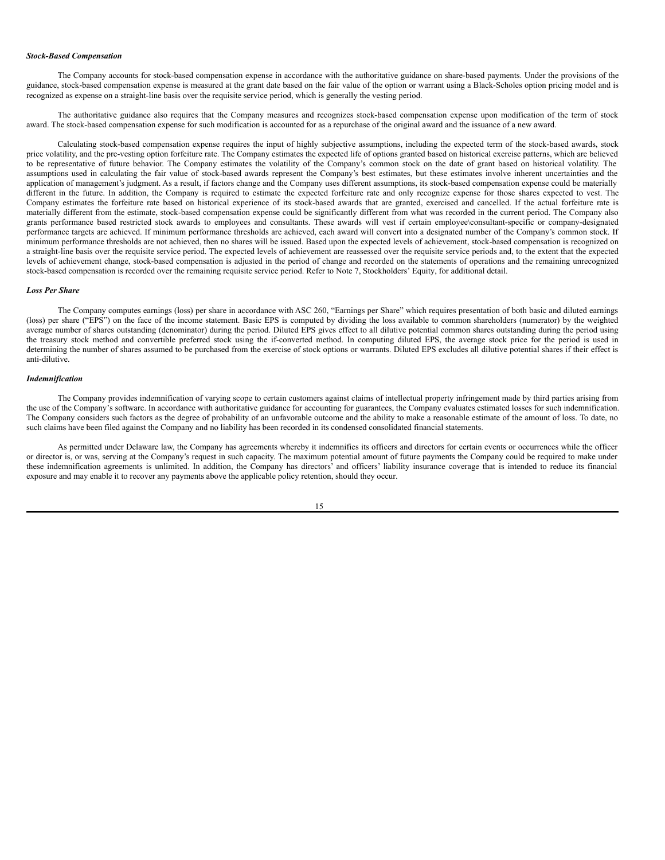#### *Stock-Based Compensation*

The Company accounts for stock-based compensation expense in accordance with the authoritative guidance on share-based payments. Under the provisions of the guidance, stock-based compensation expense is measured at the grant date based on the fair value of the option or warrant using a Black-Scholes option pricing model and is recognized as expense on a straight-line basis over the requisite service period, which is generally the vesting period.

The authoritative guidance also requires that the Company measures and recognizes stock-based compensation expense upon modification of the term of stock award. The stock-based compensation expense for such modification is accounted for as a repurchase of the original award and the issuance of a new award.

Calculating stock-based compensation expense requires the input of highly subjective assumptions, including the expected term of the stock-based awards, stock price volatility, and the pre-vesting option forfeiture rate. The Company estimates the expected life of options granted based on historical exercise patterns, which are believed to be representative of future behavior. The Company estimates the volatility of the Company's common stock on the date of grant based on historical volatility. The assumptions used in calculating the fair value of stock-based awards represent the Company's best estimates, but these estimates involve inherent uncertainties and the application of management's judgment. As a result, if factors change and the Company uses different assumptions, its stock-based compensation expense could be materially different in the future. In addition, the Company is required to estimate the expected forfeiture rate and only recognize expense for those shares expected to vest. The Company estimates the forfeiture rate based on historical experience of its stock-based awards that are granted, exercised and cancelled. If the actual forfeiture rate is materially different from the estimate, stock-based compensation expense could be significantly different from what was recorded in the current period. The Company also grants performance based restricted stock awards to employees and consultants. These awards will vest if certain employee\consultant-specific or company-designated performance targets are achieved. If minimum performance thresholds are achieved, each award will convert into a designated number of the Company's common stock. If minimum performance thresholds are not achieved, then no shares will be issued. Based upon the expected levels of achievement, stock-based compensation is recognized on a straight-line basis over the requisite service period. The expected levels of achievement are reassessed over the requisite service periods and, to the extent that the expected levels of achievement change, stock-based compensation is adjusted in the period of change and recorded on the statements of operations and the remaining unrecognized stock-based compensation is recorded over the remaining requisite service period. Refer to Note 7, Stockholders' Equity, for additional detail.

## *Loss Per Share*

The Company computes earnings (loss) per share in accordance with ASC 260, "Earnings per Share" which requires presentation of both basic and diluted earnings (loss) per share ("EPS") on the face of the income statement. Basic EPS is computed by dividing the loss available to common shareholders (numerator) by the weighted average number of shares outstanding (denominator) during the period. Diluted EPS gives effect to all dilutive potential common shares outstanding during the period using the treasury stock method and convertible preferred stock using the if-converted method. In computing diluted EPS, the average stock price for the period is used in determining the number of shares assumed to be purchased from the exercise of stock options or warrants. Diluted EPS excludes all dilutive potential shares if their effect is anti-dilutive.

# *Indemnification*

The Company provides indemnification of varying scope to certain customers against claims of intellectual property infringement made by third parties arising from the use of the Company's software. In accordance with authoritative guidance for accounting for guarantees, the Company evaluates estimated losses for such indemnification. The Company considers such factors as the degree of probability of an unfavorable outcome and the ability to make a reasonable estimate of the amount of loss. To date, no such claims have been filed against the Company and no liability has been recorded in its condensed consolidated financial statements.

As permitted under Delaware law, the Company has agreements whereby it indemnifies its officers and directors for certain events or occurrences while the officer or director is, or was, serving at the Company's request in such capacity. The maximum potential amount of future payments the Company could be required to make under these indemnification agreements is unlimited. In addition, the Company has directors' and officers' liability insurance coverage that is intended to reduce its financial exposure and may enable it to recover any payments above the applicable policy retention, should they occur.

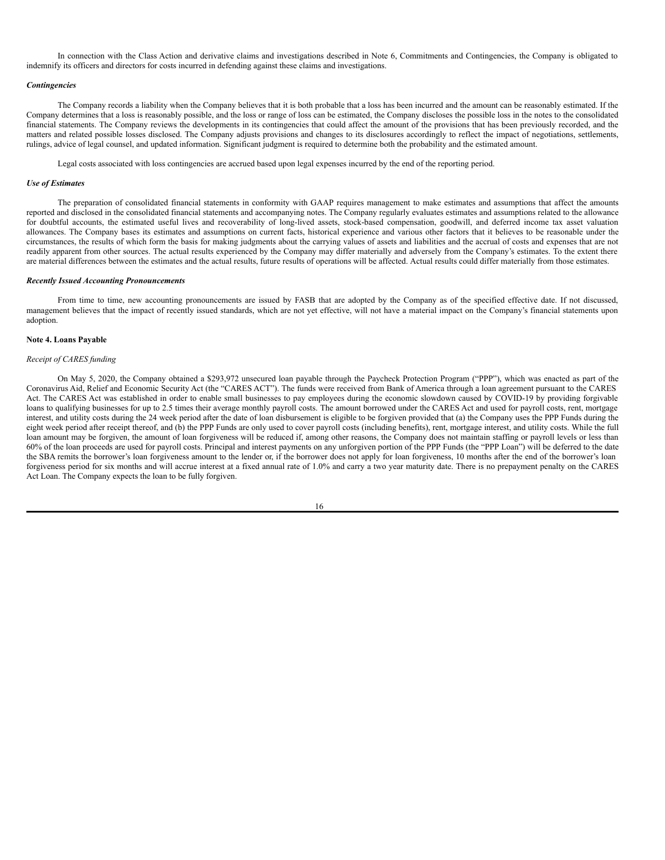In connection with the Class Action and derivative claims and investigations described in Note 6, Commitments and Contingencies, the Company is obligated to indemnify its officers and directors for costs incurred in defending against these claims and investigations.

#### *Contingencies*

The Company records a liability when the Company believes that it is both probable that a loss has been incurred and the amount can be reasonably estimated. If the Company determines that a loss is reasonably possible, and the loss or range of loss can be estimated, the Company discloses the possible loss in the notes to the consolidated financial statements. The Company reviews the developments in its contingencies that could affect the amount of the provisions that has been previously recorded, and the matters and related possible losses disclosed. The Company adjusts provisions and changes to its disclosures accordingly to reflect the impact of negotiations, settlements, rulings, advice of legal counsel, and updated information. Significant judgment is required to determine both the probability and the estimated amount.

Legal costs associated with loss contingencies are accrued based upon legal expenses incurred by the end of the reporting period.

#### *Use of Estimates*

The preparation of consolidated financial statements in conformity with GAAP requires management to make estimates and assumptions that affect the amounts reported and disclosed in the consolidated financial statements and accompanying notes. The Company regularly evaluates estimates and assumptions related to the allowance for doubtful accounts, the estimated useful lives and recoverability of long-lived assets, stock-based compensation, goodwill, and deferred income tax asset valuation allowances. The Company bases its estimates and assumptions on current facts, historical experience and various other factors that it believes to be reasonable under the circumstances, the results of which form the basis for making judgments about the carrying values of assets and liabilities and the accrual of costs and expenses that are not readily apparent from other sources. The actual results experienced by the Company may differ materially and adversely from the Company's estimates. To the extent there are material differences between the estimates and the actual results, future results of operations will be affected. Actual results could differ materially from those estimates.

## *Recently Issued Accounting Pronouncements*

From time to time, new accounting pronouncements are issued by FASB that are adopted by the Company as of the specified effective date. If not discussed, management believes that the impact of recently issued standards, which are not yet effective, will not have a material impact on the Company's financial statements upon adoption.

#### **Note 4. Loans Payable**

# *Receipt of CARES funding*

On May 5, 2020, the Company obtained a \$293,972 unsecured loan payable through the Paycheck Protection Program ("PPP"), which was enacted as part of the Coronavirus Aid, Relief and Economic Security Act (the "CARES ACT"). The funds were received from Bank of America through a loan agreement pursuant to the CARES Act. The CARES Act was established in order to enable small businesses to pay employees during the economic slowdown caused by COVID-19 by providing forgivable loans to qualifying businesses for up to 2.5 times their average monthly payroll costs. The amount borrowed under the CARES Act and used for payroll costs, rent, mortgage interest, and utility costs during the 24 week period after the date of loan disbursement is eligible to be forgiven provided that (a) the Company uses the PPP Funds during the eight week period after receipt thereof, and (b) the PPP Funds are only used to cover payroll costs (including benefits), rent, mortgage interest, and utility costs. While the full loan amount may be forgiven, the amount of loan forgiveness will be reduced if, among other reasons, the Company does not maintain staffing or payroll levels or less than 60% of the loan proceeds are used for payroll costs. Principal and interest payments on any unforgiven portion of the PPP Funds (the "PPP Loan") will be deferred to the date the SBA remits the borrower's loan forgiveness amount to the lender or, if the borrower does not apply for loan forgiveness, 10 months after the end of the borrower's loan forgiveness period for six months and will accrue interest at a fixed annual rate of 1.0% and carry a two year maturity date. There is no prepayment penalty on the CARES Act Loan. The Company expects the loan to be fully forgiven.

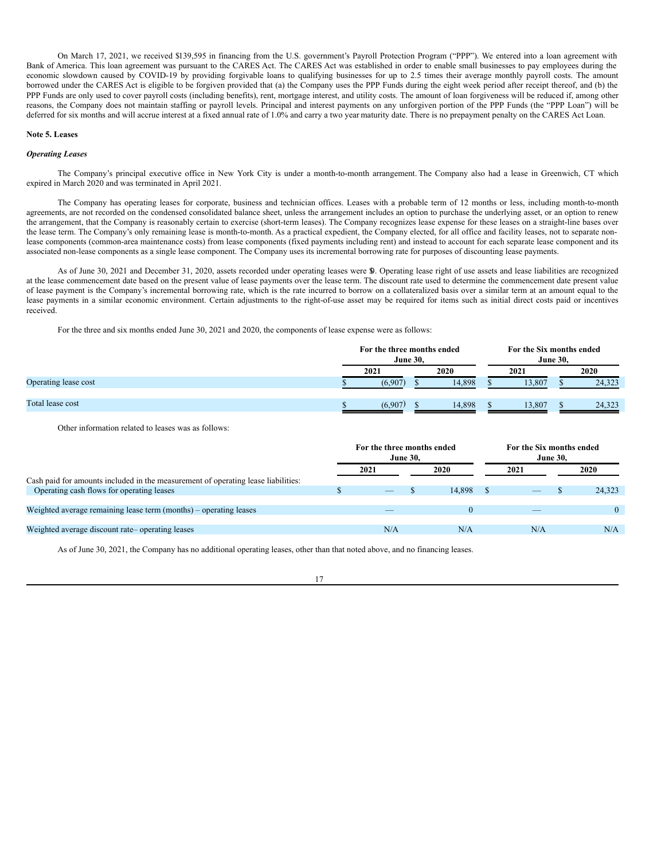On March 17, 2021, we received \$139,595 in financing from the U.S. government's Payroll Protection Program ("PPP"). We entered into a loan agreement with Bank of America. This loan agreement was pursuant to the CARES Act. The CARES Act was established in order to enable small businesses to pay employees during the economic slowdown caused by COVID-19 by providing forgivable loans to qualifying businesses for up to 2.5 times their average monthly payroll costs. The amount borrowed under the CARES Act is eligible to be forgiven provided that (a) the Company uses the PPP Funds during the eight week period after receipt thereof, and (b) the PPP Funds are only used to cover payroll costs (including benefits), rent, mortgage interest, and utility costs. The amount of loan forgiveness will be reduced if, among other reasons, the Company does not maintain staffing or payroll levels. Principal and interest payments on any unforgiven portion of the PPP Funds (the "PPP Loan") will be deferred for six months and will accrue interest at a fixed annual rate of 1.0% and carry a two year maturity date. There is no prepayment penalty on the CARES Act Loan.

#### **Note 5. Leases**

#### *Operating Leases*

The Company's principal executive office in New York City is under a month-to-month arrangement. The Company also had a lease in Greenwich, CT which expired in March 2020 and was terminated in April 2021.

The Company has operating leases for corporate, business and technician offices. Leases with a probable term of 12 months or less, including month-to-month agreements, are not recorded on the condensed consolidated balance sheet, unless the arrangement includes an option to purchase the underlying asset, or an option to renew the arrangement, that the Company is reasonably certain to exercise (short-term leases). The Company recognizes lease expense for these leases on a straight-line bases over the lease term. The Company's only remaining lease is month-to-month. As a practical expedient, the Company elected, for all office and facility leases, not to separate nonlease components (common-area maintenance costs) from lease components (fixed payments including rent) and instead to account for each separate lease component and its associated non-lease components as a single lease component. The Company uses its incremental borrowing rate for purposes of discounting lease payments.

As of June 30, 2021 and December 31, 2020, assets recorded under operating leases were  $\mathbb{S}$ . Operating lease right of use assets and lease liabilities are recognized at the lease commencement date based on the present value of lease payments over the lease term. The discount rate used to determine the commencement date present value of lease payment is the Company's incremental borrowing rate, which is the rate incurred to borrow on a collateralized basis over a similar term at an amount equal to the lease payments in a similar economic environment. Certain adjustments to the right-of-use asset may be required for items such as initial direct costs paid or incentives received.

For the three and six months ended June 30, 2021 and 2020, the components of lease expense were as follows:

|                      | For the three months ended<br><b>June 30,</b> |         |  |        | For the Six months ended<br><b>June 30.</b> |        |  |        |
|----------------------|-----------------------------------------------|---------|--|--------|---------------------------------------------|--------|--|--------|
|                      |                                               | 2021    |  | 2020   |                                             | 2021   |  | 2020   |
| Operating lease cost |                                               | (6.907) |  | 14.898 |                                             | 13,807 |  | 24,323 |
| Total lease cost     |                                               | (6.907) |  | 14.898 |                                             | 13.807 |  | 24,323 |

Other information related to leases was as follows:

|                                                                                   | For the three months ended      | <b>June 30.</b> |          | For the Six months ended | <b>June 30.</b> |          |
|-----------------------------------------------------------------------------------|---------------------------------|-----------------|----------|--------------------------|-----------------|----------|
|                                                                                   | 2021                            |                 | 2020     | 2021                     |                 | 2020     |
| Cash paid for amounts included in the measurement of operating lease liabilities: |                                 |                 |          |                          |                 |          |
| Operating cash flows for operating leases                                         | $\hspace{0.1mm}-\hspace{0.1mm}$ | ъ               | 14.898   |                          |                 | 24.323   |
|                                                                                   |                                 |                 |          |                          |                 |          |
| Weighted average remaining lease term (months) – operating leases                 |                                 |                 | $\Omega$ |                          |                 | $\Omega$ |
|                                                                                   |                                 |                 |          |                          |                 |          |
| Weighted average discount rate – operating leases                                 | N/A                             |                 | N/A      | N/A                      |                 | N/A      |

As of June 30, 2021, the Company has no additional operating leases, other than that noted above, and no financing leases.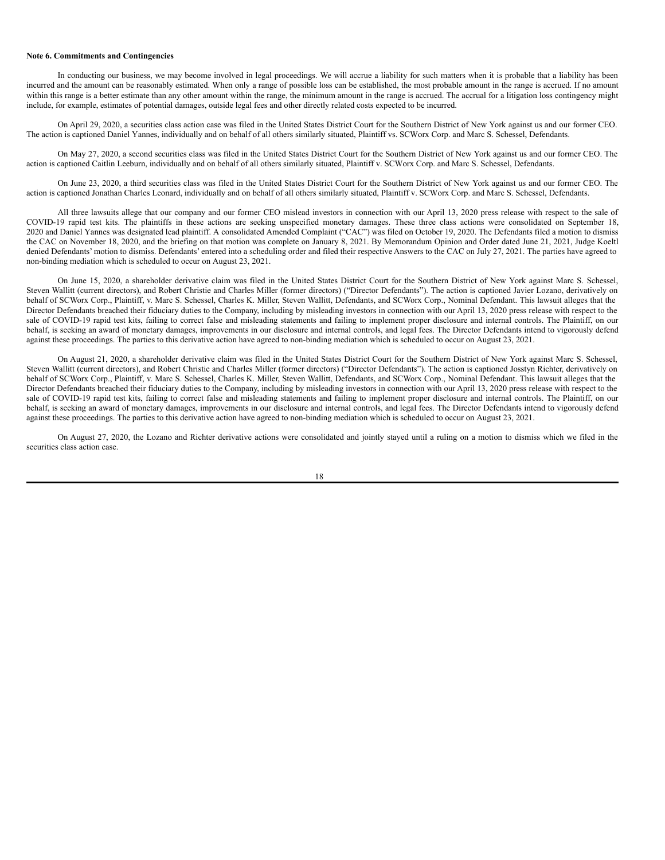#### **Note 6. Commitments and Contingencies**

In conducting our business, we may become involved in legal proceedings. We will accrue a liability for such matters when it is probable that a liability has been incurred and the amount can be reasonably estimated. When only a range of possible loss can be established, the most probable amount in the range is accrued. If no amount within this range is a better estimate than any other amount within the range, the minimum amount in the range is accrued. The accrual for a litigation loss contingency might include, for example, estimates of potential damages, outside legal fees and other directly related costs expected to be incurred.

On April 29, 2020, a securities class action case was filed in the United States District Court for the Southern District of New York against us and our former CEO. The action is captioned Daniel Yannes, individually and on behalf of all others similarly situated, Plaintiff vs. SCWorx Corp. and Marc S. Schessel, Defendants.

On May 27, 2020, a second securities class was filed in the United States District Court for the Southern District of New York against us and our former CEO. The action is captioned Caitlin Leeburn, individually and on behalf of all others similarly situated, Plaintiff v. SCWorx Corp. and Marc S. Schessel, Defendants.

On June 23, 2020, a third securities class was filed in the United States District Court for the Southern District of New York against us and our former CEO. The action is captioned Jonathan Charles Leonard, individually and on behalf of all others similarly situated, Plaintiff v. SCWorx Corp. and Marc S. Schessel, Defendants.

All three lawsuits allege that our company and our former CEO mislead investors in connection with our April 13, 2020 press release with respect to the sale of COVID-19 rapid test kits. The plaintiffs in these actions are seeking unspecified monetary damages. These three class actions were consolidated on September 18, 2020 and Daniel Yannes was designated lead plaintiff. A consolidated Amended Complaint ("CAC") was filed on October 19, 2020. The Defendants filed a motion to dismiss the CAC on November 18, 2020, and the briefing on that motion was complete on January 8, 2021. By Memorandum Opinion and Order dated June 21, 2021, Judge Koeltl denied Defendants' motion to dismiss. Defendants' entered into a scheduling order and filed their respective Answers to the CAC on July 27, 2021. The parties have agreed to non-binding mediation which is scheduled to occur on August 23, 2021.

On June 15, 2020, a shareholder derivative claim was filed in the United States District Court for the Southern District of New York against Marc S. Schessel, Steven Wallitt (current directors), and Robert Christie and Charles Miller (former directors) ("Director Defendants"). The action is captioned Javier Lozano, derivatively on behalf of SCWorx Corp., Plaintiff, v. Marc S. Schessel, Charles K. Miller, Steven Wallitt, Defendants, and SCWorx Corp., Nominal Defendant. This lawsuit alleges that the Director Defendants breached their fiduciary duties to the Company, including by misleading investors in connection with our April 13, 2020 press release with respect to the sale of COVID-19 rapid test kits, failing to correct false and misleading statements and failing to implement proper disclosure and internal controls. The Plaintiff, on our behalf, is seeking an award of monetary damages, improvements in our disclosure and internal controls, and legal fees. The Director Defendants intend to vigorously defend against these proceedings. The parties to this derivative action have agreed to non-binding mediation which is scheduled to occur on August 23, 2021.

On August 21, 2020, a shareholder derivative claim was filed in the United States District Court for the Southern District of New York against Marc S. Schessel, Steven Wallitt (current directors), and Robert Christie and Charles Miller (former directors) ("Director Defendants"). The action is captioned Josstyn Richter, derivatively on behalf of SCWorx Corp., Plaintiff, v. Marc S. Schessel, Charles K. Miller, Steven Wallitt, Defendants, and SCWorx Corp., Nominal Defendant. This lawsuit alleges that the Director Defendants breached their fiduciary duties to the Company, including by misleading investors in connection with our April 13, 2020 press release with respect to the sale of COVID-19 rapid test kits, failing to correct false and misleading statements and failing to implement proper disclosure and internal controls. The Plaintiff, on our behalf, is seeking an award of monetary damages, improvements in our disclosure and internal controls, and legal fees. The Director Defendants intend to vigorously defend against these proceedings. The parties to this derivative action have agreed to non-binding mediation which is scheduled to occur on August 23, 2021.

On August 27, 2020, the Lozano and Richter derivative actions were consolidated and jointly stayed until a ruling on a motion to dismiss which we filed in the securities class action case.

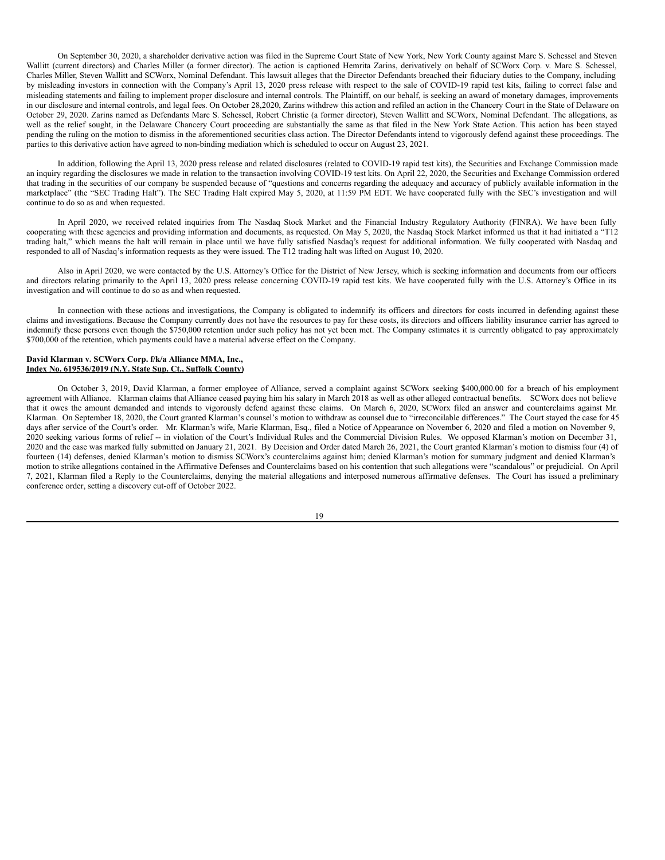On September 30, 2020, a shareholder derivative action was filed in the Supreme Court State of New York, New York County against Marc S. Schessel and Steven Wallitt (current directors) and Charles Miller (a former director). The action is captioned Hemrita Zarins, derivatively on behalf of SCWorx Corp. v. Marc S. Schessel, Charles Miller, Steven Wallitt and SCWorx, Nominal Defendant. This lawsuit alleges that the Director Defendants breached their fiduciary duties to the Company, including by misleading investors in connection with the Company's April 13, 2020 press release with respect to the sale of COVID-19 rapid test kits, failing to correct false and misleading statements and failing to implement proper disclosure and internal controls. The Plaintiff, on our behalf, is seeking an award of monetary damages, improvements in our disclosure and internal controls, and legal fees. On October 28,2020, Zarins withdrew this action and refiled an action in the Chancery Court in the State of Delaware on October 29, 2020. Zarins named as Defendants Marc S. Schessel, Robert Christie (a former director), Steven Wallitt and SCWorx, Nominal Defendant. The allegations, as well as the relief sought, in the Delaware Chancery Court proceeding are substantially the same as that filed in the New York State Action. This action has been stayed pending the ruling on the motion to dismiss in the aforementioned securities class action. The Director Defendants intend to vigorously defend against these proceedings. The parties to this derivative action have agreed to non-binding mediation which is scheduled to occur on August 23, 2021.

In addition, following the April 13, 2020 press release and related disclosures (related to COVID-19 rapid test kits), the Securities and Exchange Commission made an inquiry regarding the disclosures we made in relation to the transaction involving COVID-19 test kits. On April 22, 2020, the Securities and Exchange Commission ordered that trading in the securities of our company be suspended because of "questions and concerns regarding the adequacy and accuracy of publicly available information in the marketplace" (the "SEC Trading Halt"). The SEC Trading Halt expired May 5, 2020, at 11:59 PM EDT. We have cooperated fully with the SEC's investigation and will continue to do so as and when requested.

In April 2020, we received related inquiries from The Nasdaq Stock Market and the Financial Industry Regulatory Authority (FINRA). We have been fully cooperating with these agencies and providing information and documents, as requested. On May 5, 2020, the Nasdaq Stock Market informed us that it had initiated a "T12 trading halt," which means the halt will remain in place until we have fully satisfied Nasdaq's request for additional information. We fully cooperated with Nasdaq and responded to all of Nasdaq's information requests as they were issued. The T12 trading halt was lifted on August 10, 2020.

Also in April 2020, we were contacted by the U.S. Attorney's Office for the District of New Jersey, which is seeking information and documents from our officers and directors relating primarily to the April 13, 2020 press release concerning COVID-19 rapid test kits. We have cooperated fully with the U.S. Attorney's Office in its investigation and will continue to do so as and when requested.

In connection with these actions and investigations, the Company is obligated to indemnify its officers and directors for costs incurred in defending against these claims and investigations. Because the Company currently does not have the resources to pay for these costs, its directors and officers liability insurance carrier has agreed to indemnify these persons even though the \$750,000 retention under such policy has not yet been met. The Company estimates it is currently obligated to pay approximately \$700,000 of the retention, which payments could have a material adverse effect on the Company.

# **David Klarman v. SCWorx Corp. f/k/a Alliance MMA, Inc., Index No. 619536/2019 (N.Y. State Sup. Ct., Suffolk County)**

On October 3, 2019, David Klarman, a former employee of Alliance, served a complaint against SCWorx seeking \$400,000.00 for a breach of his employment agreement with Alliance. Klarman claims that Alliance ceased paying him his salary in March 2018 as well as other alleged contractual benefits. SCWorx does not believe that it owes the amount demanded and intends to vigorously defend against these claims. On March 6, 2020, SCWorx filed an answer and counterclaims against Mr. Klarman. On September 18, 2020, the Court granted Klarman's counsel's motion to withdraw as counsel due to "irreconcilable differences." The Court stayed the case for 45 days after service of the Court's order. Mr. Klarman's wife, Marie Klarman, Esq., filed a Notice of Appearance on November 6, 2020 and filed a motion on November 9, 2020 seeking various forms of relief -- in violation of the Court's Individual Rules and the Commercial Division Rules. We opposed Klarman's motion on December 31, 2020 and the case was marked fully submitted on January 21, 2021. By Decision and Order dated March 26, 2021, the Court granted Klarman's motion to dismiss four (4) of fourteen (14) defenses, denied Klarman's motion to dismiss SCWorx's counterclaims against him; denied Klarman's motion for summary judgment and denied Klarman's motion to strike allegations contained in the Affirmative Defenses and Counterclaims based on his contention that such allegations were "scandalous" or prejudicial. On April 7, 2021, Klarman filed a Reply to the Counterclaims, denying the material allegations and interposed numerous affirmative defenses. The Court has issued a preliminary conference order, setting a discovery cut-off of October 2022.

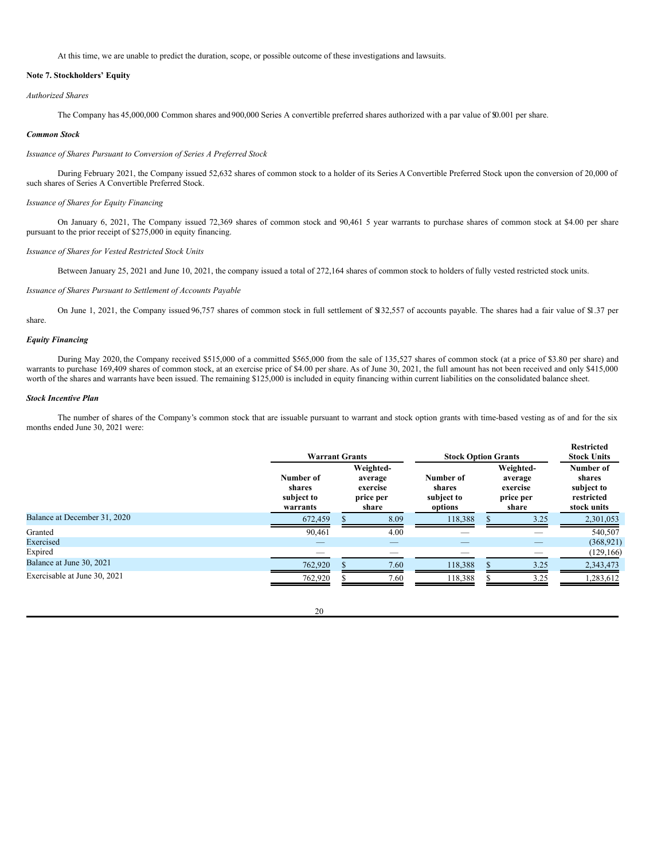At this time, we are unable to predict the duration, scope, or possible outcome of these investigations and lawsuits.

# **Note 7. Stockholders' Equity**

### *Authorized Shares*

The Company has 45,000,000 Common shares and 900,000 Series A convertible preferred shares authorized with a par value of \$0.001 per share.

#### *Common Stock*

*Issuance of Shares Pursuant to Conversion of Series A Preferred Stock*

During February 2021, the Company issued 52,632 shares of common stock to a holder of its Series A Convertible Preferred Stock upon the conversion of 20,000 of such shares of Series A Convertible Preferred Stock.

## *Issuance of Shares for Equity Financing*

On January 6, 2021, The Company issued 72,369 shares of common stock and 90,461 5 year warrants to purchase shares of common stock at \$4.00 per share pursuant to the prior receipt of \$275,000 in equity financing.

#### *Issuance of Shares for Vested Restricted Stock Units*

Between January 25, 2021 and June 10, 2021, the company issued a total of 272,164 shares of common stock to holders of fully vested restricted stock units.

#### *Issuance of Shares Pursuant to Settlement of Accounts Payable*

On June 1, 2021, the Company issued 96,757 shares of common stock in full settlement of \$132,557 of accounts payable. The shares had a fair value of \$1.37 per share.

## *Equity Financing*

During May 2020, the Company received \$515,000 of a committed \$565,000 from the sale of 135,527 shares of common stock (at a price of \$3.80 per share) and warrants to purchase 169,409 shares of common stock, at an exercise price of \$4.00 per share. As of June 30, 2021, the full amount has not been received and only \$415,000 worth of the shares and warrants have been issued. The remaining \$125,000 is included in equity financing within current liabilities on the consolidated balance sheet.

# *Stock Incentive Plan*

The number of shares of the Company's common stock that are issuable pursuant to warrant and stock option grants with time-based vesting as of and for the six months ended June 30, 2021 were:

|                              | <b>Warrant Grants</b>                         |                                                        | <b>Stock Option Grants</b>                   |  |                                                        | <b>Restricted</b><br><b>Stock Units</b>                        |
|------------------------------|-----------------------------------------------|--------------------------------------------------------|----------------------------------------------|--|--------------------------------------------------------|----------------------------------------------------------------|
|                              | Number of<br>shares<br>subject to<br>warrants | Weighted-<br>average<br>exercise<br>price per<br>share | Number of<br>shares<br>subject to<br>options |  | Weighted-<br>average<br>exercise<br>price per<br>share | Number of<br>shares<br>subject to<br>restricted<br>stock units |
| Balance at December 31, 2020 | 672,459                                       | 8.09                                                   | 118,388                                      |  | 3.25                                                   | 2,301,053                                                      |
| Granted                      | 90,461                                        | 4.00                                                   |                                              |  |                                                        | 540,507                                                        |
| Exercised                    |                                               | _                                                      |                                              |  |                                                        | (368, 921)                                                     |
| Expired                      | $\sim$                                        |                                                        |                                              |  |                                                        | (129, 166)                                                     |
| Balance at June 30, 2021     | 762,920                                       | 7.60                                                   | 118,388                                      |  | 3.25                                                   | 2,343,473                                                      |
| Exercisable at June 30, 2021 | 762,920                                       | 7.60                                                   | 118.388                                      |  | 3.25                                                   | 1,283,612                                                      |

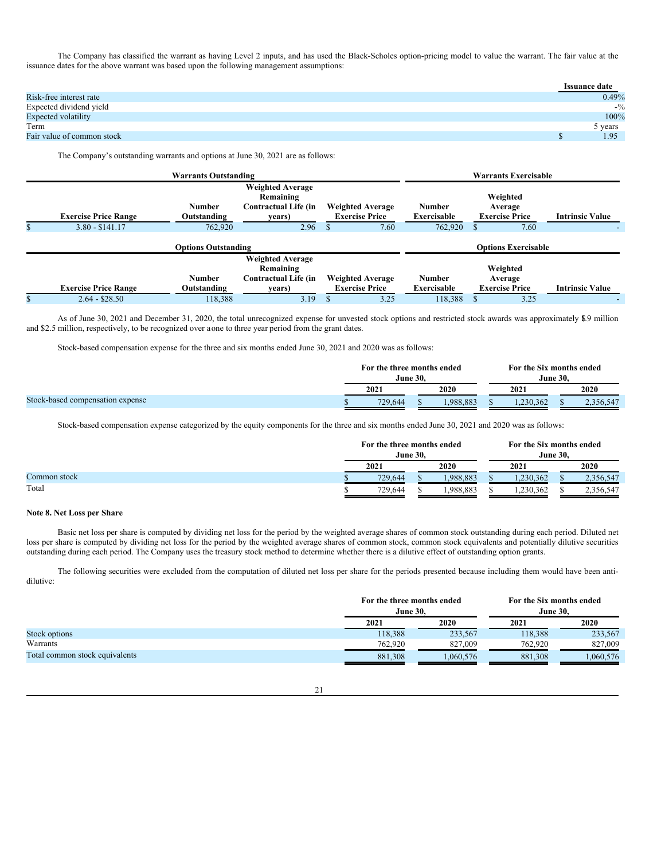The Company has classified the warrant as having Level 2 inputs, and has used the Black-Scholes option-pricing model to value the warrant. The fair value at the issuance dates for the above warrant was based upon the following management assumptions:

|                            | <b>Issuance date</b> |         |
|----------------------------|----------------------|---------|
| Risk-free interest rate    |                      | 0.49%   |
| Expected dividend yield    |                      | $-9/0$  |
| Expected volatility        |                      | 100%    |
| Term                       |                      | 5 years |
| Fair value of common stock |                      | 1.95    |

The Company's outstanding warrants and options at June 30, 2021 are as follows:

|                             | <b>Warrants Outstanding</b>  |                                                                        |                                                  |                                     | <b>Warrants Exercisable</b>                  |                        |
|-----------------------------|------------------------------|------------------------------------------------------------------------|--------------------------------------------------|-------------------------------------|----------------------------------------------|------------------------|
| <b>Exercise Price Range</b> | <b>Number</b><br>Outstanding | <b>Weighted Average</b><br>Remaining<br>Contractual Life (in<br>years) | <b>Weighted Average</b><br><b>Exercise Price</b> | <b>Number</b><br><b>Exercisable</b> | Weighted<br>Average<br><b>Exercise Price</b> | <b>Intrinsic Value</b> |
| $3.80 - $141.17$            | 762,920                      | 2.96                                                                   | 7.60                                             | 762,920                             | 7.60                                         |                        |
|                             | <b>Options Outstanding</b>   |                                                                        |                                                  |                                     | <b>Options Exercisable</b>                   |                        |
| <b>Exercise Price Range</b> | <b>Number</b><br>Outstanding | <b>Weighted Average</b><br>Remaining<br>Contractual Life (in<br>years) | <b>Weighted Average</b><br><b>Exercise Price</b> | <b>Number</b><br>Exercisable        | Weighted<br>Average<br><b>Exercise Price</b> | <b>Intrinsic Value</b> |
| $2.64 - $28.50$             | 118,388                      | 3.19                                                                   | 3.25                                             | 118,388                             | 3.25                                         |                        |

As of June 30, 2021 and December 31, 2020, the total unrecognized expense for unvested stock options and restricted stock awards was approximately \$.9 million and \$2.5 million, respectively, to be recognized over aone to three year period from the grant dates.

Stock-based compensation expense for the three and six months ended June 30, 2021 and 2020 was as follows:

| For the three months ended |         | For the Six months ended |          |  |          |  |                 |
|----------------------------|---------|--------------------------|----------|--|----------|--|-----------------|
|                            |         |                          |          |  |          |  |                 |
|                            |         |                          | 2020     |  | 2021     |  | 2020            |
|                            | 729.644 |                          | .988.883 |  | .230.362 |  | 2.356.547       |
|                            |         | 2021                     | June 30. |  |          |  | <b>June 30.</b> |

Stock-based compensation expense categorized by the equity components for the three and six months ended June 30, 2021 and 2020 was as follows:

|              | For the three months ended<br><b>June 30.</b> |  |           |  | For the Six months ended |  |           |
|--------------|-----------------------------------------------|--|-----------|--|--------------------------|--|-----------|
|              | 2021                                          |  | 2020      |  | 2021                     |  | 2020      |
| Common stock | 729,644                                       |  | .988.883  |  | .230.362                 |  | 2.356.547 |
| Total        | 729,644                                       |  | 1.988.883 |  | .230.362                 |  | 2,356,547 |

# **Note 8. Net Loss per Share**

Basic net loss per share is computed by dividing net loss for the period by the weighted average shares of common stock outstanding during each period. Diluted net loss per share is computed by dividing net loss for the period by the weighted average shares of common stock, common stock equivalents and potentially dilutive securities outstanding during each period. The Company uses the treasury stock method to determine whether there is a dilutive effect of outstanding option grants.

The following securities were excluded from the computation of diluted net loss per share for the periods presented because including them would have been antidilutive:

|                                | For the three months ended<br><b>June 30.</b> |           | For the Six months ended<br><b>June 30.</b> |          |
|--------------------------------|-----------------------------------------------|-----------|---------------------------------------------|----------|
|                                | 2021                                          | 2020      | 2021                                        | 2020     |
| Stock options                  | 118,388                                       | 233,567   | 118,388                                     | 233,567  |
| Warrants                       | 762,920                                       | 827,009   | 762,920                                     | 827,009  |
| Total common stock equivalents | 881,308                                       | 1,060,576 | 881.308                                     | .060,576 |

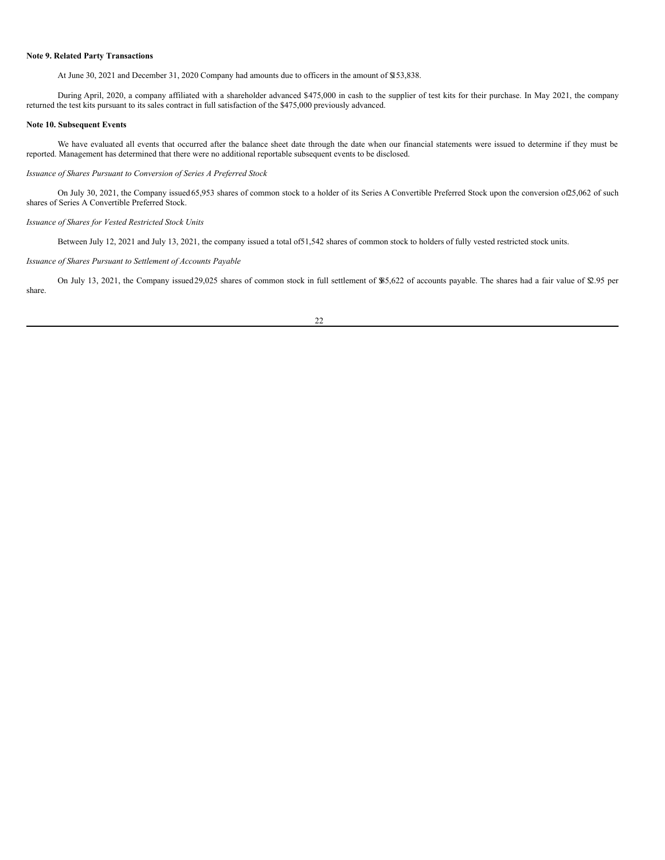## **Note 9. Related Party Transactions**

At June 30, 2021 and December 31, 2020 Company had amounts due to officers in the amount of \$153,838.

During April, 2020, a company affiliated with a shareholder advanced \$475,000 in cash to the supplier of test kits for their purchase. In May 2021, the company returned the test kits pursuant to its sales contract in full satisfaction of the \$475,000 previously advanced.

# **Note 10. Subsequent Events**

We have evaluated all events that occurred after the balance sheet date through the date when our financial statements were issued to determine if they must be reported. Management has determined that there were no additional reportable subsequent events to be disclosed.

# *Issuance of Shares Pursuant to Conversion of Series A Preferred Stock*

On July 30, 2021, the Company issued 65,953 shares of common stock to a holder of its Series A Convertible Preferred Stock upon the conversion of25,062 of such shares of Series A Convertible Preferred Stock.

# *Issuance of Shares for Vested Restricted Stock Units*

Between July 12, 2021 and July 13, 2021, the company issued a total of51,542 shares of common stock to holders of fully vested restricted stock units.

## *Issuance of Shares Pursuant to Settlement of Accounts Payable*

On July 13, 2021, the Company issued 29,025 shares of common stock in full settlement of \$85,622 of accounts payable. The shares had a fair value of \$2.95 per share.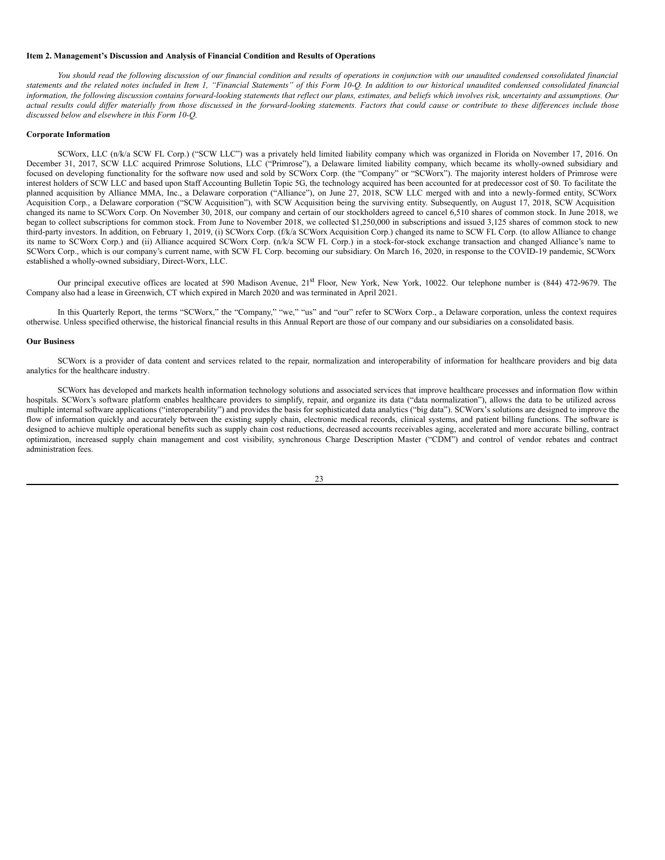#### **Item 2. Management's Discussion and Analysis of Financial Condition and Results of Operations**

You should read the following discussion of our financial condition and results of operations in conjunction with our unaudited condensed consolidated financial statements and the related notes included in Item 1, "Financial Statements" of this Form 10-Q. In addition to our historical unaudited condensed consolidated financial information, the following discussion contains forward-looking statements that reflect our plans, estimates, and beliefs which involves risk, uncertainty and assumptions. Our actual results could differ materially from those discussed in the forward-looking statements. Factors that could cause or contribute to these differences include those *discussed below and elsewhere in this Form 10-Q.*

#### **Corporate Information**

SCWorx, LLC (n/k/a SCW FL Corp.) ("SCW LLC") was a privately held limited liability company which was organized in Florida on November 17, 2016. On December 31, 2017, SCW LLC acquired Primrose Solutions, LLC ("Primrose"), a Delaware limited liability company, which became its wholly-owned subsidiary and focused on developing functionality for the software now used and sold by SCWorx Corp. (the "Company" or "SCWorx"). The majority interest holders of Primrose were interest holders of SCW LLC and based upon Staff Accounting Bulletin Topic 5G, the technology acquired has been accounted for at predecessor cost of \$0. To facilitate the planned acquisition by Alliance MMA, Inc., a Delaware corporation ("Alliance"), on June 27, 2018, SCW LLC merged with and into a newly-formed entity, SCWorx Acquisition Corp., a Delaware corporation ("SCW Acquisition"), with SCW Acquisition being the surviving entity. Subsequently, on August 17, 2018, SCW Acquisition changed its name to SCWorx Corp. On November 30, 2018, our company and certain of our stockholders agreed to cancel 6,510 shares of common stock. In June 2018, we began to collect subscriptions for common stock. From June to November 2018, we collected \$1,250,000 in subscriptions and issued 3,125 shares of common stock to new third-party investors. In addition, on February 1, 2019, (i) SCWorx Corp. (f/k/a SCWorx Acquisition Corp.) changed its name to SCW FL Corp. (to allow Alliance to change its name to SCWorx Corp.) and (ii) Alliance acquired SCWorx Corp. (n/k/a SCW FL Corp.) in a stock-for-stock exchange transaction and changed Alliance's name to SCWorx Corp., which is our company's current name, with SCW FL Corp. becoming our subsidiary. On March 16, 2020, in response to the COVID-19 pandemic, SCWorx established a wholly-owned subsidiary, Direct-Worx, LLC.

Our principal executive offices are located at 590 Madison Avenue, 21<sup>st</sup> Floor, New York, New York, 10022. Our telephone number is (844) 472-9679. The Company also had a lease in Greenwich, CT which expired in March 2020 and was terminated in April 2021.

In this Quarterly Report, the terms "SCWorx," the "Company," "we," "us" and "our" refer to SCWorx Corp., a Delaware corporation, unless the context requires otherwise. Unless specified otherwise, the historical financial results in this Annual Report are those of our company and our subsidiaries on a consolidated basis.

# **Our Business**

SCWorx is a provider of data content and services related to the repair, normalization and interoperability of information for healthcare providers and big data analytics for the healthcare industry.

SCWorx has developed and markets health information technology solutions and associated services that improve healthcare processes and information flow within hospitals. SCWorx's software platform enables healthcare providers to simplify, repair, and organize its data ("data normalization"), allows the data to be utilized across multiple internal software applications ("interoperability") and provides the basis for sophisticated data analytics ("big data"). SCWorx's solutions are designed to improve the flow of information quickly and accurately between the existing supply chain, electronic medical records, clinical systems, and patient billing functions. The software is designed to achieve multiple operational benefits such as supply chain cost reductions, decreased accounts receivables aging, accelerated and more accurate billing, contract optimization, increased supply chain management and cost visibility, synchronous Charge Description Master ("CDM") and control of vendor rebates and contract administration fees.

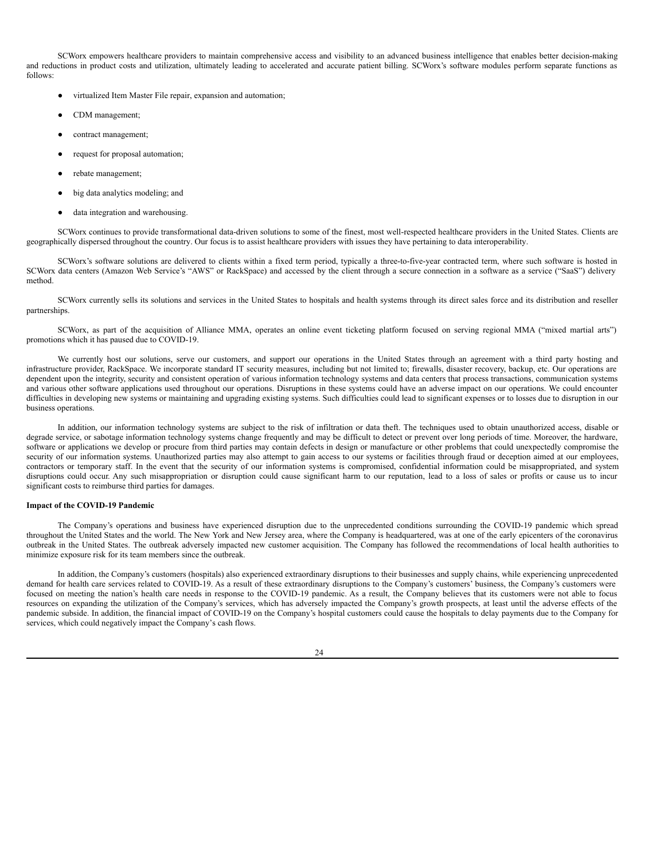SCWorx empowers healthcare providers to maintain comprehensive access and visibility to an advanced business intelligence that enables better decision-making and reductions in product costs and utilization, ultimately leading to accelerated and accurate patient billing. SCWorx's software modules perform separate functions as follows:

- virtualized Item Master File repair, expansion and automation;
- CDM management;
- contract management;
- request for proposal automation;
- rebate management:
- big data analytics modeling; and
- data integration and warehousing.

SCWorx continues to provide transformational data-driven solutions to some of the finest, most well-respected healthcare providers in the United States. Clients are geographically dispersed throughout the country. Our focus is to assist healthcare providers with issues they have pertaining to data interoperability.

SCWorx's software solutions are delivered to clients within a fixed term period, typically a three-to-five-year contracted term, where such software is hosted in SCWorx data centers (Amazon Web Service's "AWS" or RackSpace) and accessed by the client through a secure connection in a software as a service ("SaaS") delivery method.

SCWorx currently sells its solutions and services in the United States to hospitals and health systems through its direct sales force and its distribution and reseller partnerships.

SCWorx, as part of the acquisition of Alliance MMA, operates an online event ticketing platform focused on serving regional MMA ("mixed martial arts") promotions which it has paused due to COVID-19.

We currently host our solutions, serve our customers, and support our operations in the United States through an agreement with a third party hosting and infrastructure provider, RackSpace. We incorporate standard IT security measures, including but not limited to; firewalls, disaster recovery, backup, etc. Our operations are dependent upon the integrity, security and consistent operation of various information technology systems and data centers that process transactions, communication systems and various other software applications used throughout our operations. Disruptions in these systems could have an adverse impact on our operations. We could encounter difficulties in developing new systems or maintaining and upgrading existing systems. Such difficulties could lead to significant expenses or to losses due to disruption in our business operations.

In addition, our information technology systems are subject to the risk of infiltration or data theft. The techniques used to obtain unauthorized access, disable or degrade service, or sabotage information technology systems change frequently and may be difficult to detect or prevent over long periods of time. Moreover, the hardware, software or applications we develop or procure from third parties may contain defects in design or manufacture or other problems that could unexpectedly compromise the security of our information systems. Unauthorized parties may also attempt to gain access to our systems or facilities through fraud or deception aimed at our employees, contractors or temporary staff. In the event that the security of our information systems is compromised, confidential information could be misappropriated, and system disruptions could occur. Any such misappropriation or disruption could cause significant harm to our reputation, lead to a loss of sales or profits or cause us to incur significant costs to reimburse third parties for damages.

# **Impact of the COVID-19 Pandemic**

The Company's operations and business have experienced disruption due to the unprecedented conditions surrounding the COVID-19 pandemic which spread throughout the United States and the world. The New York and New Jersey area, where the Company is headquartered, was at one of the early epicenters of the coronavirus outbreak in the United States. The outbreak adversely impacted new customer acquisition. The Company has followed the recommendations of local health authorities to minimize exposure risk for its team members since the outbreak.

In addition, the Company's customers (hospitals) also experienced extraordinary disruptions to their businesses and supply chains, while experiencing unprecedented demand for health care services related to COVID-19. As a result of these extraordinary disruptions to the Company's customers' business, the Company's customers were focused on meeting the nation's health care needs in response to the COVID-19 pandemic. As a result, the Company believes that its customers were not able to focus resources on expanding the utilization of the Company's services, which has adversely impacted the Company's growth prospects, at least until the adverse effects of the pandemic subside. In addition, the financial impact of COVID-19 on the Company's hospital customers could cause the hospitals to delay payments due to the Company for services, which could negatively impact the Company's cash flows.

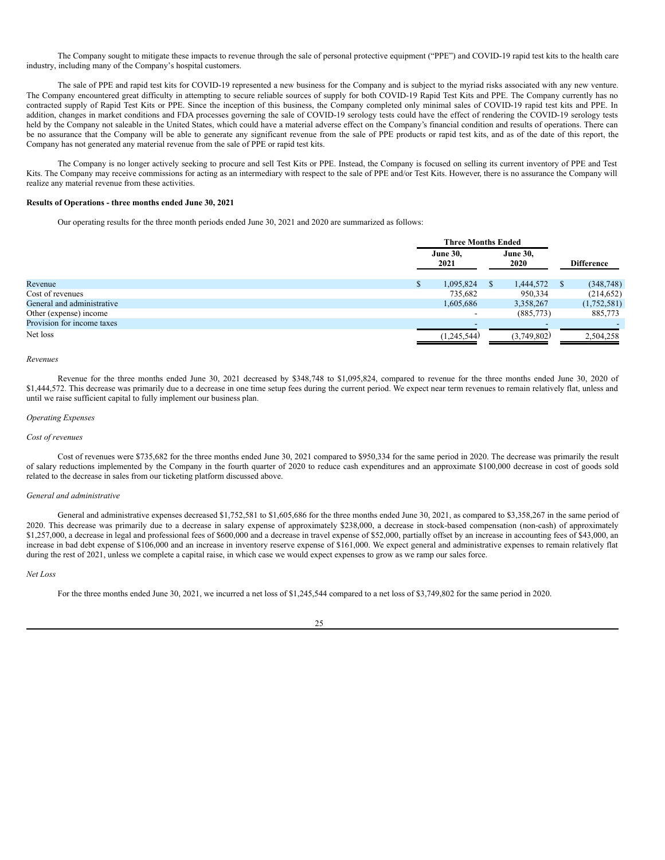The Company sought to mitigate these impacts to revenue through the sale of personal protective equipment ("PPE") and COVID-19 rapid test kits to the health care industry, including many of the Company's hospital customers.

The sale of PPE and rapid test kits for COVID-19 represented a new business for the Company and is subject to the myriad risks associated with any new venture. The Company encountered great difficulty in attempting to secure reliable sources of supply for both COVID-19 Rapid Test Kits and PPE. The Company currently has no contracted supply of Rapid Test Kits or PPE. Since the inception of this business, the Company completed only minimal sales of COVID-19 rapid test kits and PPE. In addition, changes in market conditions and FDA processes governing the sale of COVID-19 serology tests could have the effect of rendering the COVID-19 serology tests held by the Company not saleable in the United States, which could have a material adverse effect on the Company's financial condition and results of operations. There can be no assurance that the Company will be able to generate any significant revenue from the sale of PPE products or rapid test kits, and as of the date of this report, the Company has not generated any material revenue from the sale of PPE or rapid test kits.

The Company is no longer actively seeking to procure and sell Test Kits or PPE. Instead, the Company is focused on selling its current inventory of PPE and Test Kits. The Company may receive commissions for acting as an intermediary with respect to the sale of PPE and/or Test Kits. However, there is no assurance the Company will realize any material revenue from these activities.

## **Results of Operations - three months ended June 30, 2021**

Our operating results for the three month periods ended June 30, 2021 and 2020 are summarized as follows:

|                            | <b>Three Months Ended</b> |                         |             |                   |
|----------------------------|---------------------------|-------------------------|-------------|-------------------|
|                            | <b>June 30,</b><br>2021   | <b>June 30,</b><br>2020 |             | <b>Difference</b> |
| Revenue                    | 1,095,824                 | У                       | 1,444,572   | (348, 748)        |
| Cost of revenues           | 735.682                   |                         | 950,334     | (214, 652)        |
| General and administrative | 1,605,686                 |                         | 3,358,267   | (1,752,581)       |
| Other (expense) income     | $\overline{\phantom{a}}$  |                         | (885,773)   | 885,773           |
| Provision for income taxes | $\overline{\phantom{a}}$  |                         |             |                   |
| Net loss                   | (1,245,544)               |                         | (3,749,802) | 2,504,258         |

## *Revenues*

Revenue for the three months ended June 30, 2021 decreased by \$348,748 to \$1,095,824, compared to revenue for the three months ended June 30, 2020 of \$1,444,572. This decrease was primarily due to a decrease in one time setup fees during the current period. We expect near term revenues to remain relatively flat, unless and until we raise sufficient capital to fully implement our business plan.

## *Operating Expenses*

#### *Cost of revenues*

Cost of revenues were \$735,682 for the three months ended June 30, 2021 compared to \$950,334 for the same period in 2020. The decrease was primarily the result of salary reductions implemented by the Company in the fourth quarter of 2020 to reduce cash expenditures and an approximate \$100,000 decrease in cost of goods sold related to the decrease in sales from our ticketing platform discussed above.

## *General and administrative*

General and administrative expenses decreased \$1,752,581 to \$1,605,686 for the three months ended June 30, 2021, as compared to \$3,358,267 in the same period of 2020. This decrease was primarily due to a decrease in salary expense of approximately \$238,000, a decrease in stock-based compensation (non-cash) of approximately \$1,257,000, a decrease in legal and professional fees of \$600,000 and a decrease in travel expense of \$52,000, partially offset by an increase in accounting fees of \$43,000, an increase in bad debt expense of \$106,000 and an increase in inventory reserve expense of \$161,000. We expect general and administrative expenses to remain relatively flat during the rest of 2021, unless we complete a capital raise, in which case we would expect expenses to grow as we ramp our sales force.

## *Net Loss*

For the three months ended June 30, 2021, we incurred a net loss of \$1,245,544 compared to a net loss of \$3,749,802 for the same period in 2020.

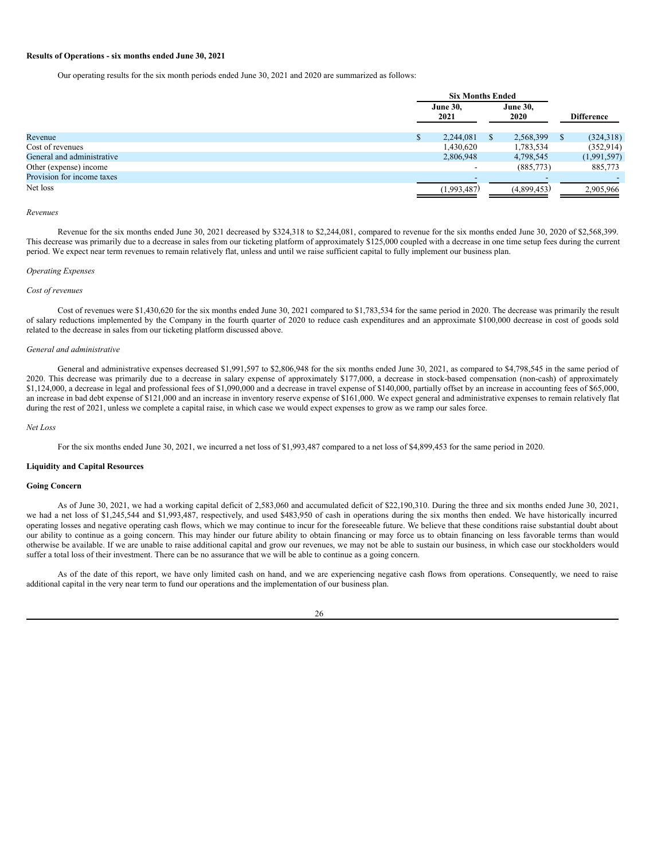#### **Results of Operations - six months ended June 30, 2021**

Our operating results for the six month periods ended June 30, 2021 and 2020 are summarized as follows:

|                            | <b>Six Months Ended</b>  |    |                         |                   |
|----------------------------|--------------------------|----|-------------------------|-------------------|
|                            | <b>June 30,</b><br>2021  |    | <b>June 30,</b><br>2020 | <b>Difference</b> |
| Revenue                    | 2.244.081                | S. | 2,568,399               | (324,318)         |
| Cost of revenues           | 1,430,620                |    | 1,783,534               | (352, 914)        |
| General and administrative | 2,806,948                |    | 4,798,545               | (1,991,597)       |
| Other (expense) income     | $\overline{\phantom{a}}$ |    | (885,773)               | 885,773           |
| Provision for income taxes | $\overline{\phantom{a}}$ |    |                         |                   |
| Net loss                   | (1,993,487)              |    | (4,899,453)             | 2,905,966         |

#### *Revenues*

Revenue for the six months ended June 30, 2021 decreased by \$324,318 to \$2,244,081, compared to revenue for the six months ended June 30, 2020 of \$2,568,399. This decrease was primarily due to a decrease in sales from our ticketing platform of approximately \$125,000 coupled with a decrease in one time setup fees during the current period. We expect near term revenues to remain relatively flat, unless and until we raise sufficient capital to fully implement our business plan.

#### *Operating Expenses*

### *Cost of revenues*

Cost of revenues were \$1,430,620 for the six months ended June 30, 2021 compared to \$1,783,534 for the same period in 2020. The decrease was primarily the result of salary reductions implemented by the Company in the fourth quarter of 2020 to reduce cash expenditures and an approximate \$100,000 decrease in cost of goods sold related to the decrease in sales from our ticketing platform discussed above.

#### *General and administrative*

General and administrative expenses decreased \$1,991,597 to \$2,806,948 for the six months ended June 30, 2021, as compared to \$4,798,545 in the same period of 2020. This decrease was primarily due to a decrease in salary expense of approximately \$177,000, a decrease in stock-based compensation (non-cash) of approximately \$1,124,000, a decrease in legal and professional fees of \$1,090,000 and a decrease in travel expense of \$140,000, partially offset by an increase in accounting fees of \$65,000, an increase in bad debt expense of \$121,000 and an increase in inventory reserve expense of \$161,000. We expect general and administrative expenses to remain relatively flat during the rest of 2021, unless we complete a capital raise, in which case we would expect expenses to grow as we ramp our sales force.

#### *Net Loss*

For the six months ended June 30, 2021, we incurred a net loss of \$1,993,487 compared to a net loss of \$4,899,453 for the same period in 2020.

## **Liquidity and Capital Resources**

#### **Going Concern**

As of June 30, 2021, we had a working capital deficit of 2,583,060 and accumulated deficit of \$22,190,310. During the three and six months ended June 30, 2021, we had a net loss of \$1,245,544 and \$1,993,487, respectively, and used \$483,950 of cash in operations during the six months then ended. We have historically incurred operating losses and negative operating cash flows, which we may continue to incur for the foreseeable future. We believe that these conditions raise substantial doubt about our ability to continue as a going concern. This may hinder our future ability to obtain financing or may force us to obtain financing on less favorable terms than would otherwise be available. If we are unable to raise additional capital and grow our revenues, we may not be able to sustain our business, in which case our stockholders would suffer a total loss of their investment. There can be no assurance that we will be able to continue as a going concern.

As of the date of this report, we have only limited cash on hand, and we are experiencing negative cash flows from operations. Consequently, we need to raise additional capital in the very near term to fund our operations and the implementation of our business plan.

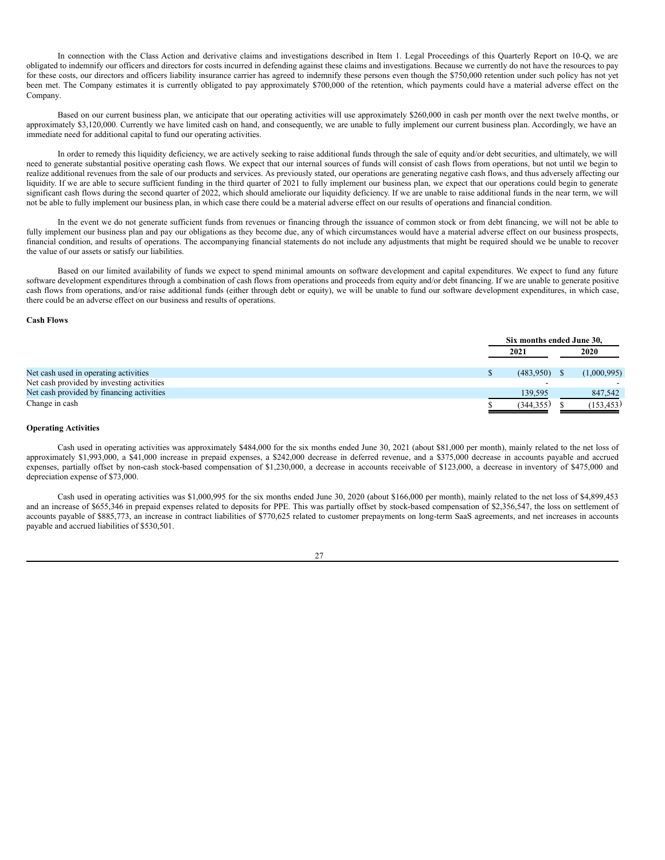In connection with the Class Action and derivative claims and investigations described in Item 1. Legal Proceedings of this Quarterly Report on 10-Q, we are obligated to indemnify our officers and directors for costs incurred in defending against these claims and investigations. Because we currently do not have the resources to pay for these costs, our directors and officers liability insurance carrier has agreed to indemnify these persons even though the \$750,000 retention under such policy has not yet been met. The Company estimates it is currently obligated to pay approximately \$700,000 of the retention, which payments could have a material adverse effect on the Company.

Based on our current business plan, we anticipate that our operating activities will use approximately \$260,000 in cash per month over the next twelve months, or approximately \$3,120,000. Currently we have limited cash on hand, and consequently, we are unable to fully implement our current business plan. Accordingly, we have an immediate need for additional capital to fund our operating activities.

In order to remedy this liquidity deficiency, we are actively seeking to raise additional funds through the sale of equity and/or debt securities, and ultimately, we will need to generate substantial positive operating cash flows. We expect that our internal sources of funds will consist of cash flows from operations, but not until we begin to realize additional revenues from the sale of our products and services. As previously stated, our operations are generating negative cash flows, and thus adversely affecting our liquidity. If we are able to secure sufficient funding in the third quarter of 2021 to fully implement our business plan, we expect that our operations could begin to generate significant cash flows during the second quarter of 2022, which should ameliorate our liquidity deficiency. If we are unable to raise additional funds in the near term, we will not be able to fully implement our business plan, in which case there could be a material adverse effect on our results of operations and financial condition.

In the event we do not generate sufficient funds from revenues or financing through the issuance of common stock or from debt financing, we will not be able to fully implement our business plan and pay our obligations as they become due, any of which circumstances would have a material adverse effect on our business prospects, financial condition, and results of operations. The accompanying financial statements do not include any adjustments that might be required should we be unable to recover the value of our assets or satisfy our liabilities.

Based on our limited availability of funds we expect to spend minimal amounts on software development and capital expenditures. We expect to fund any future software development expenditures through a combination of cash flows from operations and proceeds from equity and/or debt financing. If we are unable to generate positive cash flows from operations, and/or raise additional funds (either through debt or equity), we will be unable to fund our software development expenditures, in which case, there could be an adverse effect on our business and results of operations.

#### **Cash Flows**

|                                           | Six months ended June 30. |  |             |  |  |
|-------------------------------------------|---------------------------|--|-------------|--|--|
|                                           | 2021                      |  | 2020        |  |  |
| Net cash used in operating activities     | $(483,950)$ \$            |  | (1,000,995) |  |  |
| Net cash provided by investing activities |                           |  |             |  |  |
| Net cash provided by financing activities | 139.595                   |  | 847,542     |  |  |
| Change in cash                            | (344, 355)                |  | (153, 453)  |  |  |

# **Operating Activities**

Cash used in operating activities was approximately \$484,000 for the six months ended June 30, 2021 (about \$81,000 per month), mainly related to the net loss of approximately \$1,993,000, a \$41,000 increase in prepaid expenses, a \$242,000 decrease in deferred revenue, and a \$375,000 decrease in accounts payable and accrued expenses, partially offset by non-cash stock-based compensation of \$1,230,000, a decrease in accounts receivable of \$123,000, a decrease in inventory of \$475,000 and depreciation expense of \$73,000.

Cash used in operating activities was \$1,000,995 for the six months ended June 30, 2020 (about \$166,000 per month), mainly related to the net loss of \$4,899,453 and an increase of \$655,346 in prepaid expenses related to deposits for PPE. This was partially offset by stock-based compensation of \$2,356,547, the loss on settlement of accounts payable of \$885,773, an increase in contract liabilities of \$770,625 related to customer prepayments on long-term SaaS agreements, and net increases in accounts payable and accrued liabilities of \$530,501.

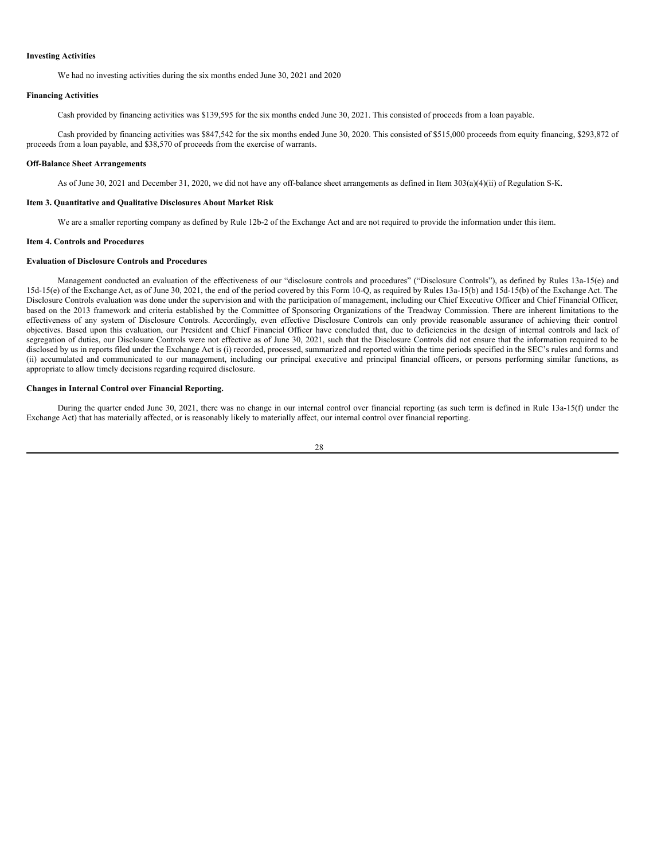#### **Investing Activities**

We had no investing activities during the six months ended June 30, 2021 and 2020

# **Financing Activities**

Cash provided by financing activities was \$139,595 for the six months ended June 30, 2021. This consisted of proceeds from a loan payable.

Cash provided by financing activities was \$847,542 for the six months ended June 30, 2020. This consisted of \$515,000 proceeds from equity financing, \$293,872 of proceeds from a loan payable, and \$38,570 of proceeds from the exercise of warrants.

## **Off-Balance Sheet Arrangements**

As of June 30, 2021 and December 31, 2020, we did not have any off-balance sheet arrangements as defined in Item 303(a)(4)(ii) of Regulation S-K.

#### **Item 3. Quantitative and Qualitative Disclosures About Market Risk**

We are a smaller reporting company as defined by Rule 12b-2 of the Exchange Act and are not required to provide the information under this item.

## **Item 4. Controls and Procedures**

## **Evaluation of Disclosure Controls and Procedures**

Management conducted an evaluation of the effectiveness of our "disclosure controls and procedures" ("Disclosure Controls"), as defined by Rules 13a-15(e) and 15d-15(e) of the Exchange Act, as of June 30, 2021, the end of the period covered by this Form 10-Q, as required by Rules 13a-15(b) and 15d-15(b) of the Exchange Act. The Disclosure Controls evaluation was done under the supervision and with the participation of management, including our Chief Executive Officer and Chief Financial Officer, based on the 2013 framework and criteria established by the Committee of Sponsoring Organizations of the Treadway Commission. There are inherent limitations to the effectiveness of any system of Disclosure Controls. Accordingly, even effective Disclosure Controls can only provide reasonable assurance of achieving their control objectives. Based upon this evaluation, our President and Chief Financial Officer have concluded that, due to deficiencies in the design of internal controls and lack of segregation of duties, our Disclosure Controls were not effective as of June 30, 2021, such that the Disclosure Controls did not ensure that the information required to be disclosed by us in reports filed under the Exchange Act is (i) recorded, processed, summarized and reported within the time periods specified in the SEC's rules and forms and (ii) accumulated and communicated to our management, including our principal executive and principal financial officers, or persons performing similar functions, as appropriate to allow timely decisions regarding required disclosure.

## **Changes in Internal Control over Financial Reporting.**

During the quarter ended June 30, 2021, there was no change in our internal control over financial reporting (as such term is defined in Rule 13a-15(f) under the Exchange Act) that has materially affected, or is reasonably likely to materially affect, our internal control over financial reporting.

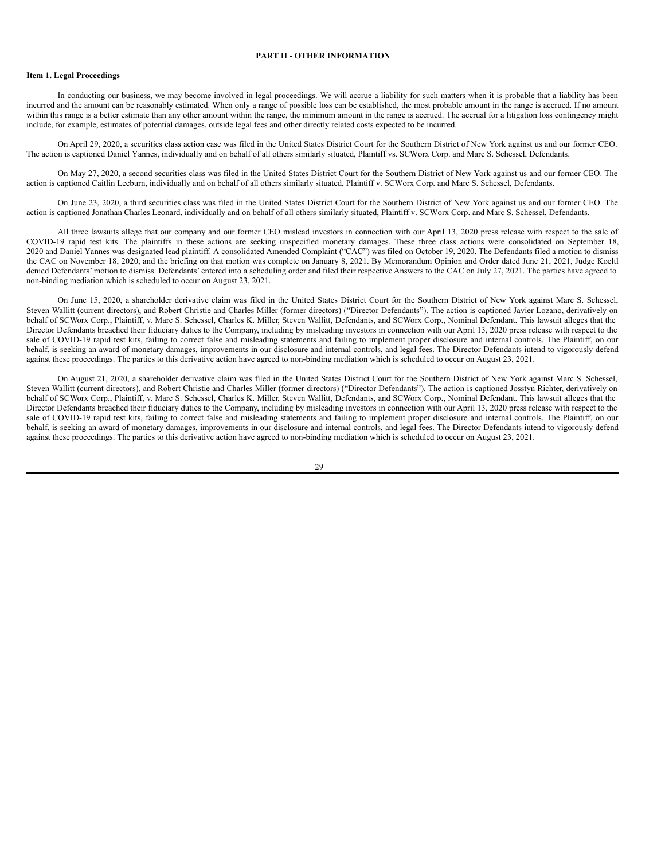# **PART II - OTHER INFORMATION**

# **Item 1. Legal Proceedings**

In conducting our business, we may become involved in legal proceedings. We will accrue a liability for such matters when it is probable that a liability has been incurred and the amount can be reasonably estimated. When only a range of possible loss can be established, the most probable amount in the range is accrued. If no amount within this range is a better estimate than any other amount within the range, the minimum amount in the range is accrued. The accrual for a litigation loss contingency might include, for example, estimates of potential damages, outside legal fees and other directly related costs expected to be incurred.

On April 29, 2020, a securities class action case was filed in the United States District Court for the Southern District of New York against us and our former CEO. The action is captioned Daniel Yannes, individually and on behalf of all others similarly situated, Plaintiff vs. SCWorx Corp. and Marc S. Schessel, Defendants.

On May 27, 2020, a second securities class was filed in the United States District Court for the Southern District of New York against us and our former CEO. The action is captioned Caitlin Leeburn, individually and on behalf of all others similarly situated, Plaintiff v. SCWorx Corp. and Marc S. Schessel, Defendants.

On June 23, 2020, a third securities class was filed in the United States District Court for the Southern District of New York against us and our former CEO. The action is captioned Jonathan Charles Leonard, individually and on behalf of all others similarly situated, Plaintiff v. SCWorx Corp. and Marc S. Schessel, Defendants.

All three lawsuits allege that our company and our former CEO mislead investors in connection with our April 13, 2020 press release with respect to the sale of COVID-19 rapid test kits. The plaintiffs in these actions are seeking unspecified monetary damages. These three class actions were consolidated on September 18, 2020 and Daniel Yannes was designated lead plaintiff. A consolidated Amended Complaint ("CAC") was filed on October 19, 2020. The Defendants filed a motion to dismiss the CAC on November 18, 2020, and the briefing on that motion was complete on January 8, 2021. By Memorandum Opinion and Order dated June 21, 2021, Judge Koeltl denied Defendants' motion to dismiss. Defendants' entered into a scheduling order and filed their respective Answers to the CAC on July 27, 2021. The parties have agreed to non-binding mediation which is scheduled to occur on August 23, 2021.

On June 15, 2020, a shareholder derivative claim was filed in the United States District Court for the Southern District of New York against Marc S. Schessel, Steven Wallitt (current directors), and Robert Christie and Charles Miller (former directors) ("Director Defendants"). The action is captioned Javier Lozano, derivatively on behalf of SCWorx Corp., Plaintiff, v. Marc S. Schessel, Charles K. Miller, Steven Wallitt, Defendants, and SCWorx Corp., Nominal Defendant. This lawsuit alleges that the Director Defendants breached their fiduciary duties to the Company, including by misleading investors in connection with our April 13, 2020 press release with respect to the sale of COVID-19 rapid test kits, failing to correct false and misleading statements and failing to implement proper disclosure and internal controls. The Plaintiff, on our behalf, is seeking an award of monetary damages, improvements in our disclosure and internal controls, and legal fees. The Director Defendants intend to vigorously defend against these proceedings. The parties to this derivative action have agreed to non-binding mediation which is scheduled to occur on August 23, 2021.

On August 21, 2020, a shareholder derivative claim was filed in the United States District Court for the Southern District of New York against Marc S. Schessel, Steven Wallitt (current directors), and Robert Christie and Charles Miller (former directors) ("Director Defendants"). The action is captioned Josstyn Richter, derivatively on behalf of SCWorx Corp., Plaintiff, v. Marc S. Schessel, Charles K. Miller, Steven Wallitt, Defendants, and SCWorx Corp., Nominal Defendant. This lawsuit alleges that the Director Defendants breached their fiduciary duties to the Company, including by misleading investors in connection with our April 13, 2020 press release with respect to the sale of COVID-19 rapid test kits, failing to correct false and misleading statements and failing to implement proper disclosure and internal controls. The Plaintiff, on our behalf, is seeking an award of monetary damages, improvements in our disclosure and internal controls, and legal fees. The Director Defendants intend to vigorously defend against these proceedings. The parties to this derivative action have agreed to non-binding mediation which is scheduled to occur on August 23, 2021.

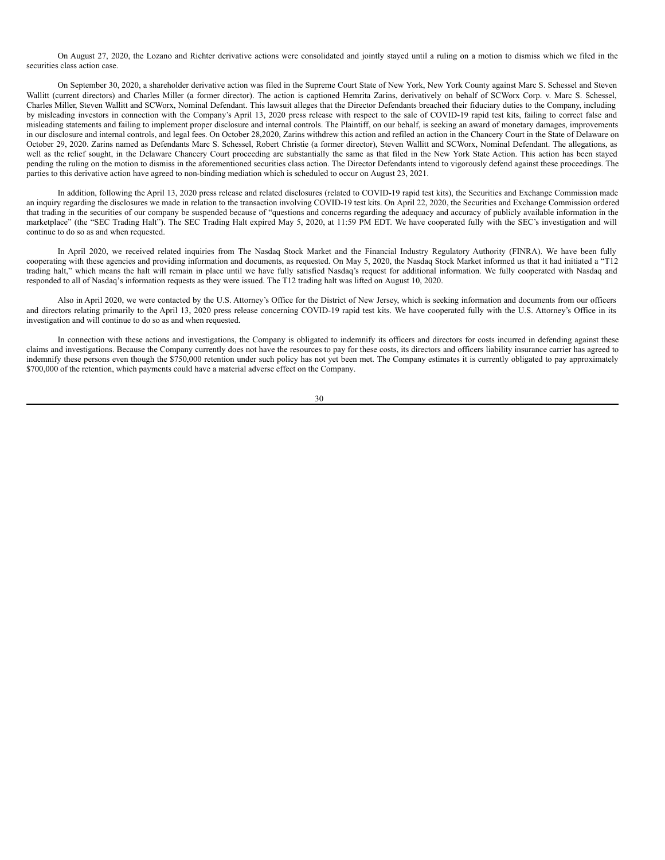On August 27, 2020, the Lozano and Richter derivative actions were consolidated and jointly stayed until a ruling on a motion to dismiss which we filed in the securities class action case.

On September 30, 2020, a shareholder derivative action was filed in the Supreme Court State of New York, New York County against Marc S. Schessel and Steven Wallitt (current directors) and Charles Miller (a former director). The action is captioned Hemrita Zarins, derivatively on behalf of SCWorx Corp. v. Marc S. Schessel, Charles Miller, Steven Wallitt and SCWorx, Nominal Defendant. This lawsuit alleges that the Director Defendants breached their fiduciary duties to the Company, including by misleading investors in connection with the Company's April 13, 2020 press release with respect to the sale of COVID-19 rapid test kits, failing to correct false and misleading statements and failing to implement proper disclosure and internal controls. The Plaintiff, on our behalf, is seeking an award of monetary damages, improvements in our disclosure and internal controls, and legal fees. On October 28,2020, Zarins withdrew this action and refiled an action in the Chancery Court in the State of Delaware on October 29, 2020. Zarins named as Defendants Marc S. Schessel, Robert Christie (a former director), Steven Wallitt and SCWorx, Nominal Defendant. The allegations, as well as the relief sought, in the Delaware Chancery Court proceeding are substantially the same as that filed in the New York State Action. This action has been stayed pending the ruling on the motion to dismiss in the aforementioned securities class action. The Director Defendants intend to vigorously defend against these proceedings. The parties to this derivative action have agreed to non-binding mediation which is scheduled to occur on August 23, 2021.

In addition, following the April 13, 2020 press release and related disclosures (related to COVID-19 rapid test kits), the Securities and Exchange Commission made an inquiry regarding the disclosures we made in relation to the transaction involving COVID-19 test kits. On April 22, 2020, the Securities and Exchange Commission ordered that trading in the securities of our company be suspended because of "questions and concerns regarding the adequacy and accuracy of publicly available information in the marketplace" (the "SEC Trading Halt"). The SEC Trading Halt expired May 5, 2020, at 11:59 PM EDT. We have cooperated fully with the SEC's investigation and will continue to do so as and when requested.

In April 2020, we received related inquiries from The Nasdaq Stock Market and the Financial Industry Regulatory Authority (FINRA). We have been fully cooperating with these agencies and providing information and documents, as requested. On May 5, 2020, the Nasdaq Stock Market informed us that it had initiated a "T12 trading halt," which means the halt will remain in place until we have fully satisfied Nasdaq's request for additional information. We fully cooperated with Nasdaq and responded to all of Nasdaq's information requests as they were issued. The T12 trading halt was lifted on August 10, 2020.

Also in April 2020, we were contacted by the U.S. Attorney's Office for the District of New Jersey, which is seeking information and documents from our officers and directors relating primarily to the April 13, 2020 press release concerning COVID-19 rapid test kits. We have cooperated fully with the U.S. Attorney's Office in its investigation and will continue to do so as and when requested.

In connection with these actions and investigations, the Company is obligated to indemnify its officers and directors for costs incurred in defending against these claims and investigations. Because the Company currently does not have the resources to pay for these costs, its directors and officers liability insurance carrier has agreed to indemnify these persons even though the \$750,000 retention under such policy has not yet been met. The Company estimates it is currently obligated to pay approximately \$700,000 of the retention, which payments could have a material adverse effect on the Company.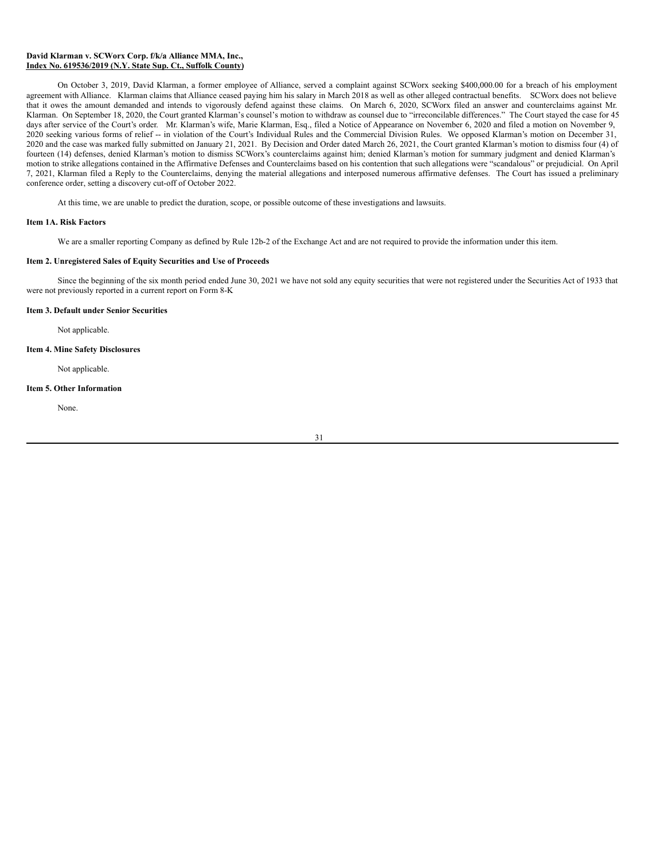### **David Klarman v. SCWorx Corp. f/k/a Alliance MMA, Inc., Index No. 619536/2019 (N.Y. State Sup. Ct., Suffolk County)**

On October 3, 2019, David Klarman, a former employee of Alliance, served a complaint against SCWorx seeking \$400,000.00 for a breach of his employment agreement with Alliance. Klarman claims that Alliance ceased paying him his salary in March 2018 as well as other alleged contractual benefits. SCWorx does not believe that it owes the amount demanded and intends to vigorously defend against these claims. On March 6, 2020, SCWorx filed an answer and counterclaims against Mr. Klarman. On September 18, 2020, the Court granted Klarman's counsel's motion to withdraw as counsel due to "irreconcilable differences." The Court stayed the case for 45 days after service of the Court's order. Mr. Klarman's wife, Marie Klarman, Esq., filed a Notice of Appearance on November 6, 2020 and filed a motion on November 9, 2020 seeking various forms of relief -- in violation of the Court's Individual Rules and the Commercial Division Rules. We opposed Klarman's motion on December 31, 2020 and the case was marked fully submitted on January 21, 2021. By Decision and Order dated March 26, 2021, the Court granted Klarman's motion to dismiss four (4) of fourteen (14) defenses, denied Klarman's motion to dismiss SCWorx's counterclaims against him; denied Klarman's motion for summary judgment and denied Klarman's motion to strike allegations contained in the Affirmative Defenses and Counterclaims based on his contention that such allegations were "scandalous" or prejudicial. On April 7, 2021, Klarman filed a Reply to the Counterclaims, denying the material allegations and interposed numerous affirmative defenses. The Court has issued a preliminary conference order, setting a discovery cut-off of October 2022.

At this time, we are unable to predict the duration, scope, or possible outcome of these investigations and lawsuits.

# **Item 1A. Risk Factors**

We are a smaller reporting Company as defined by Rule 12b-2 of the Exchange Act and are not required to provide the information under this item.

## **Item 2. Unregistered Sales of Equity Securities and Use of Proceeds**

Since the beginning of the six month period ended June 30, 2021 we have not sold any equity securities that were not registered under the Securities Act of 1933 that were not previously reported in a current report on Form 8-K

## **Item 3. Default under Senior Securities**

Not applicable.

## **Item 4. Mine Safety Disclosures**

Not applicable.

# **Item 5. Other Information**

None.

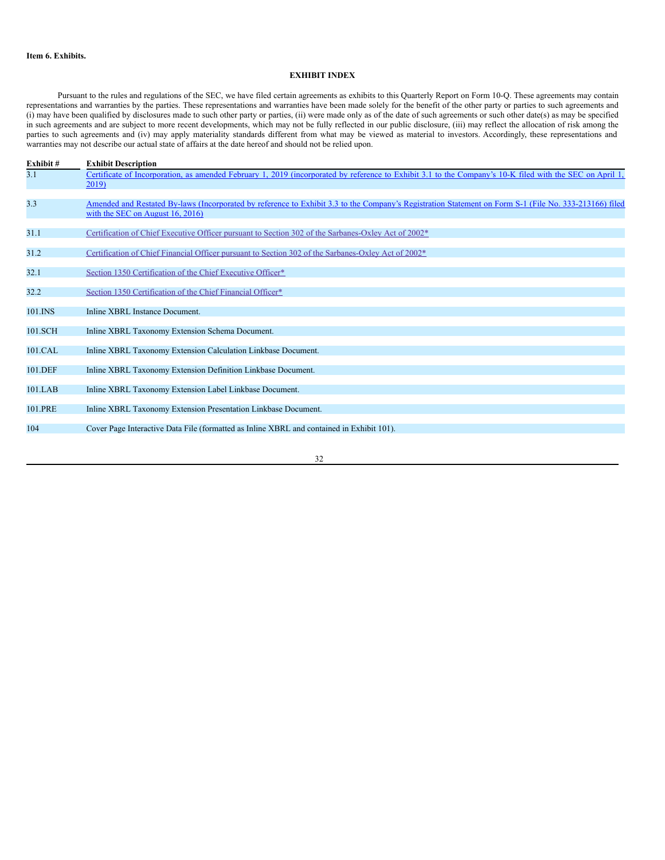# **EXHIBIT INDEX**

Pursuant to the rules and regulations of the SEC, we have filed certain agreements as exhibits to this Quarterly Report on Form 10-Q. These agreements may contain representations and warranties by the parties. These representations and warranties have been made solely for the benefit of the other party or parties to such agreements and (i) may have been qualified by disclosures made to such other party or parties, (ii) were made only as of the date of such agreements or such other date(s) as may be specified in such agreements and are subject to more recent developments, which may not be fully reflected in our public disclosure, (iii) may reflect the allocation of risk among the parties to such agreements and (iv) may apply materiality standards different from what may be viewed as material to investors. Accordingly, these representations and warranties may not describe our actual state of affairs at the date hereof and should not be relied upon.

| Exhibit # | <b>Exhibit Description</b>                                                                                                                                                                  |
|-----------|---------------------------------------------------------------------------------------------------------------------------------------------------------------------------------------------|
| 3.1       | Certificate of Incorporation, as amended February 1, 2019 (incorporated by reference to Exhibit 3.1 to the Company's 10-K filed with the SEC on April 1,<br>2019                            |
| 3.3       | Amended and Restated By-laws (Incorporated by reference to Exhibit 3.3 to the Company's Registration Statement on Form S-1 (File No. 333-213166) filed<br>with the SEC on August $16, 2016$ |
| 31.1      | Certification of Chief Executive Officer pursuant to Section 302 of the Sarbanes-Oxley Act of 2002*                                                                                         |
| 31.2      | Certification of Chief Financial Officer pursuant to Section 302 of the Sarbanes-Oxley Act of 2002*                                                                                         |
| 32.1      | Section 1350 Certification of the Chief Executive Officer*                                                                                                                                  |
| 32.2      | Section 1350 Certification of the Chief Financial Officer*                                                                                                                                  |
| 101.INS   | Inline XBRL Instance Document.                                                                                                                                                              |
| 101.SCH   | Inline XBRL Taxonomy Extension Schema Document.                                                                                                                                             |
| 101.CAL   | Inline XBRL Taxonomy Extension Calculation Linkbase Document.                                                                                                                               |
| 101.DEF   | Inline XBRL Taxonomy Extension Definition Linkbase Document.                                                                                                                                |
| 101.LAB   | Inline XBRL Taxonomy Extension Label Linkbase Document.                                                                                                                                     |
| 101.PRE   | Inline XBRL Taxonomy Extension Presentation Linkbase Document.                                                                                                                              |
| 104       | Cover Page Interactive Data File (formatted as Inline XBRL and contained in Exhibit 101).                                                                                                   |
|           |                                                                                                                                                                                             |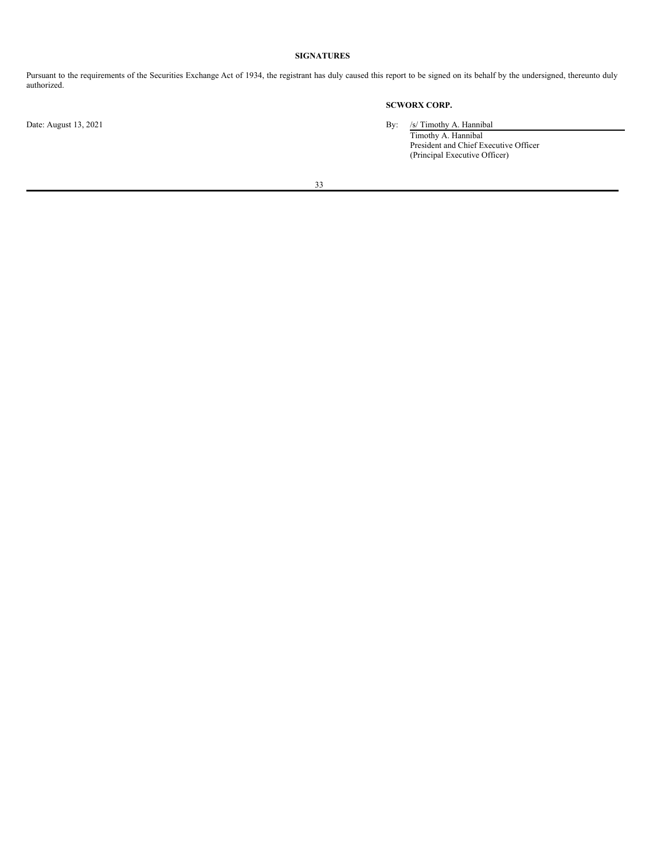# **SIGNATURES**

Pursuant to the requirements of the Securities Exchange Act of 1934, the registrant has duly caused this report to be signed on its behalf by the undersigned, thereunto duly authorized.

# **SCWORX CORP.**

Date: August 13, 2021 **By:** /s/ Timothy A. Hannibal

Timothy A. Hannibal President and Chief Executive Officer (Principal Executive Officer)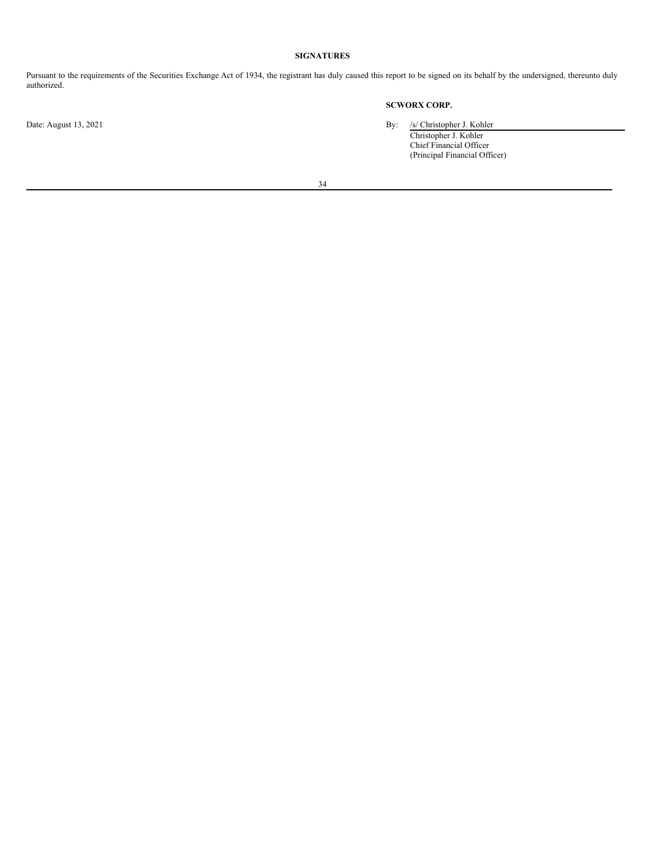# **SIGNATURES**

Pursuant to the requirements of the Securities Exchange Act of 1934, the registrant has duly caused this report to be signed on its behalf by the undersigned, thereunto duly authorized.

# **SCWORX CORP.**

Date: August 13, 2021 By: /s/ Christopher J. Kohler Christopher J. Kohler

Chief Financial Officer (Principal Financial Officer)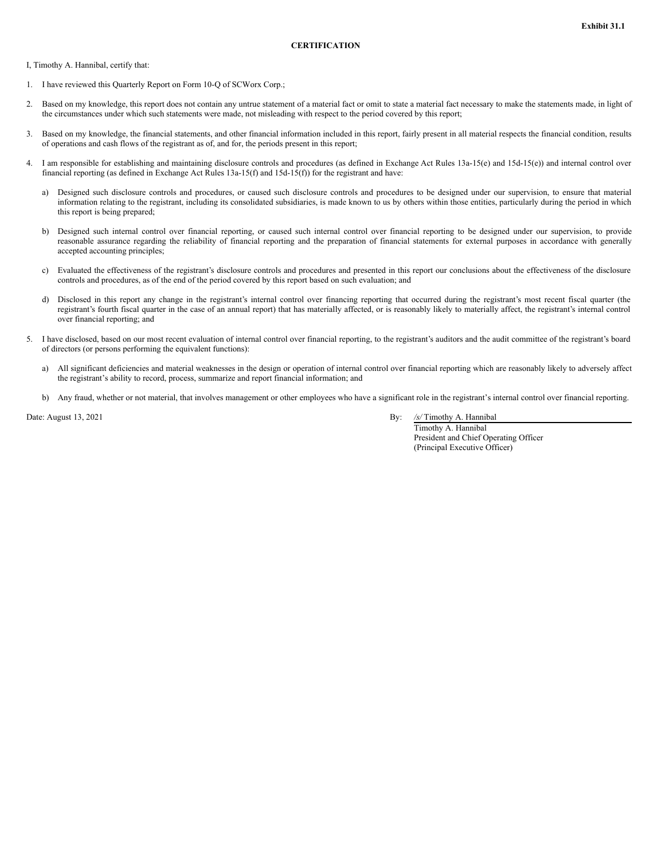<span id="page-37-0"></span>I, Timothy A. Hannibal, certify that:

- 1. I have reviewed this Quarterly Report on Form 10-Q of SCWorx Corp.;
- 2. Based on my knowledge, this report does not contain any untrue statement of a material fact or omit to state a material fact necessary to make the statements made, in light of the circumstances under which such statements were made, not misleading with respect to the period covered by this report;
- 3. Based on my knowledge, the financial statements, and other financial information included in this report, fairly present in all material respects the financial condition, results of operations and cash flows of the registrant as of, and for, the periods present in this report;
- 4. I am responsible for establishing and maintaining disclosure controls and procedures (as defined in Exchange Act Rules 13a-15(e) and 15d-15(e)) and internal control over financial reporting (as defined in Exchange Act Rules 13a-15(f) and 15d-15(f)) for the registrant and have:
	- a) Designed such disclosure controls and procedures, or caused such disclosure controls and procedures to be designed under our supervision, to ensure that material information relating to the registrant, including its consolidated subsidiaries, is made known to us by others within those entities, particularly during the period in which this report is being prepared;
	- b) Designed such internal control over financial reporting, or caused such internal control over financial reporting to be designed under our supervision, to provide reasonable assurance regarding the reliability of financial reporting and the preparation of financial statements for external purposes in accordance with generally accepted accounting principles;
	- c) Evaluated the effectiveness of the registrant's disclosure controls and procedures and presented in this report our conclusions about the effectiveness of the disclosure controls and procedures, as of the end of the period covered by this report based on such evaluation; and
	- d) Disclosed in this report any change in the registrant's internal control over financing reporting that occurred during the registrant's most recent fiscal quarter (the registrant's fourth fiscal quarter in the case of an annual report) that has materially affected, or is reasonably likely to materially affect, the registrant's internal control over financial reporting; and
- 5. I have disclosed, based on our most recent evaluation of internal control over financial reporting, to the registrant's auditors and the audit committee of the registrant's board of directors (or persons performing the equivalent functions):
	- a) All significant deficiencies and material weaknesses in the design or operation of internal control over financial reporting which are reasonably likely to adversely affect the registrant's ability to record, process, summarize and report financial information; and
	- Any fraud, whether or not material, that involves management or other employees who have a significant role in the registrant's internal control over financial reporting.

Date: August 13, 2021 **By:** */s/* Timothy A. Hannibal

Timothy A. Hannibal President and Chief Operating Officer (Principal Executive Officer)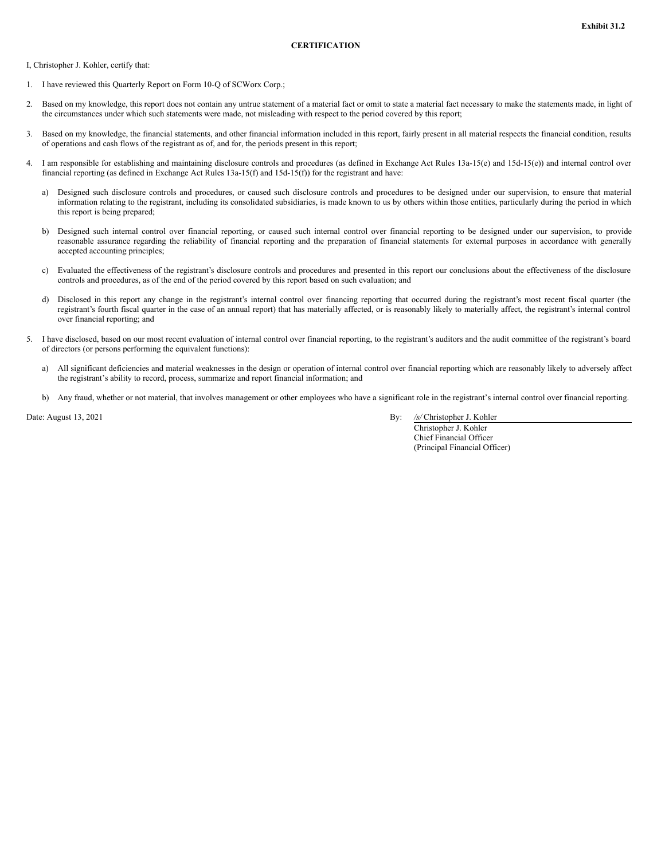<span id="page-38-0"></span>I, Christopher J. Kohler, certify that:

- 1. I have reviewed this Quarterly Report on Form 10-Q of SCWorx Corp.;
- 2. Based on my knowledge, this report does not contain any untrue statement of a material fact or omit to state a material fact necessary to make the statements made, in light of the circumstances under which such statements were made, not misleading with respect to the period covered by this report;
- 3. Based on my knowledge, the financial statements, and other financial information included in this report, fairly present in all material respects the financial condition, results of operations and cash flows of the registrant as of, and for, the periods present in this report;
- 4. I am responsible for establishing and maintaining disclosure controls and procedures (as defined in Exchange Act Rules 13a-15(e) and 15d-15(e)) and internal control over financial reporting (as defined in Exchange Act Rules 13a-15(f) and 15d-15(f)) for the registrant and have:
	- a) Designed such disclosure controls and procedures, or caused such disclosure controls and procedures to be designed under our supervision, to ensure that material information relating to the registrant, including its consolidated subsidiaries, is made known to us by others within those entities, particularly during the period in which this report is being prepared;
	- b) Designed such internal control over financial reporting, or caused such internal control over financial reporting to be designed under our supervision, to provide reasonable assurance regarding the reliability of financial reporting and the preparation of financial statements for external purposes in accordance with generally accepted accounting principles;
	- c) Evaluated the effectiveness of the registrant's disclosure controls and procedures and presented in this report our conclusions about the effectiveness of the disclosure controls and procedures, as of the end of the period covered by this report based on such evaluation; and
	- d) Disclosed in this report any change in the registrant's internal control over financing reporting that occurred during the registrant's most recent fiscal quarter (the registrant's fourth fiscal quarter in the case of an annual report) that has materially affected, or is reasonably likely to materially affect, the registrant's internal control over financial reporting; and
- 5. I have disclosed, based on our most recent evaluation of internal control over financial reporting, to the registrant's auditors and the audit committee of the registrant's board of directors (or persons performing the equivalent functions):
	- a) All significant deficiencies and material weaknesses in the design or operation of internal control over financial reporting which are reasonably likely to adversely affect the registrant's ability to record, process, summarize and report financial information; and
	- Any fraud, whether or not material, that involves management or other employees who have a significant role in the registrant's internal control over financial reporting.

Date: August 13, 2021 By: */s/* Christopher J. Kohler

Christopher J. Kohler Chief Financial Officer (Principal Financial Officer)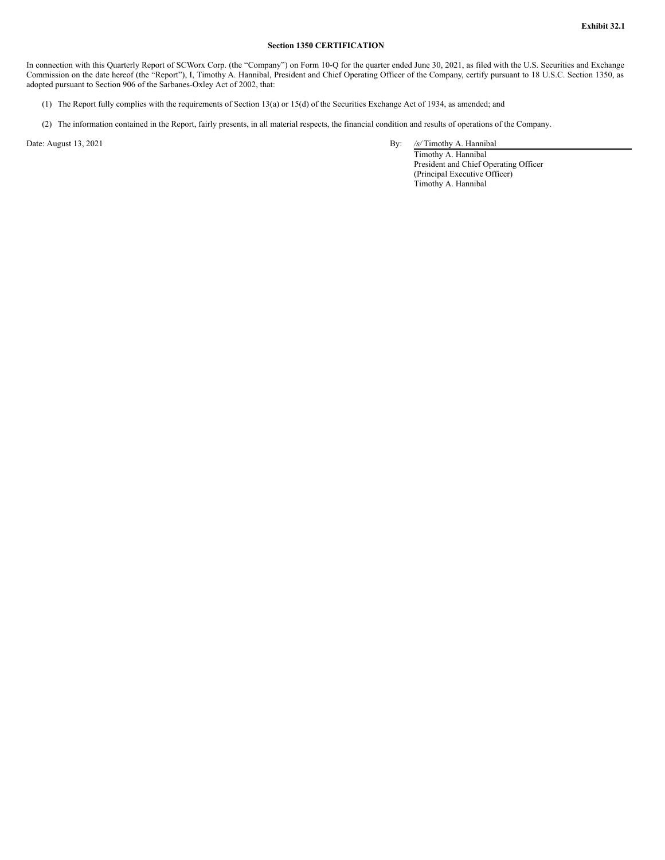# **Section 1350 CERTIFICATION**

<span id="page-39-0"></span>In connection with this Quarterly Report of SCWorx Corp. (the "Company") on Form 10-Q for the quarter ended June 30, 2021, as filed with the U.S. Securities and Exchange Commission on the date hereof (the "Report"), I, Timothy A. Hannibal, President and Chief Operating Officer of the Company, certify pursuant to 18 U.S.C. Section 1350, as adopted pursuant to Section 906 of the Sarbanes-Oxley Act of 2002, that:

- (1) The Report fully complies with the requirements of Section 13(a) or 15(d) of the Securities Exchange Act of 1934, as amended; and
- (2) The information contained in the Report, fairly presents, in all material respects, the financial condition and results of operations of the Company.

Date: August 13, 2021 By: */s/Timothy A. Hannibal* 

Timothy A. Hannibal President and Chief Operating Officer (Principal Executive Officer) Timothy A. Hannibal